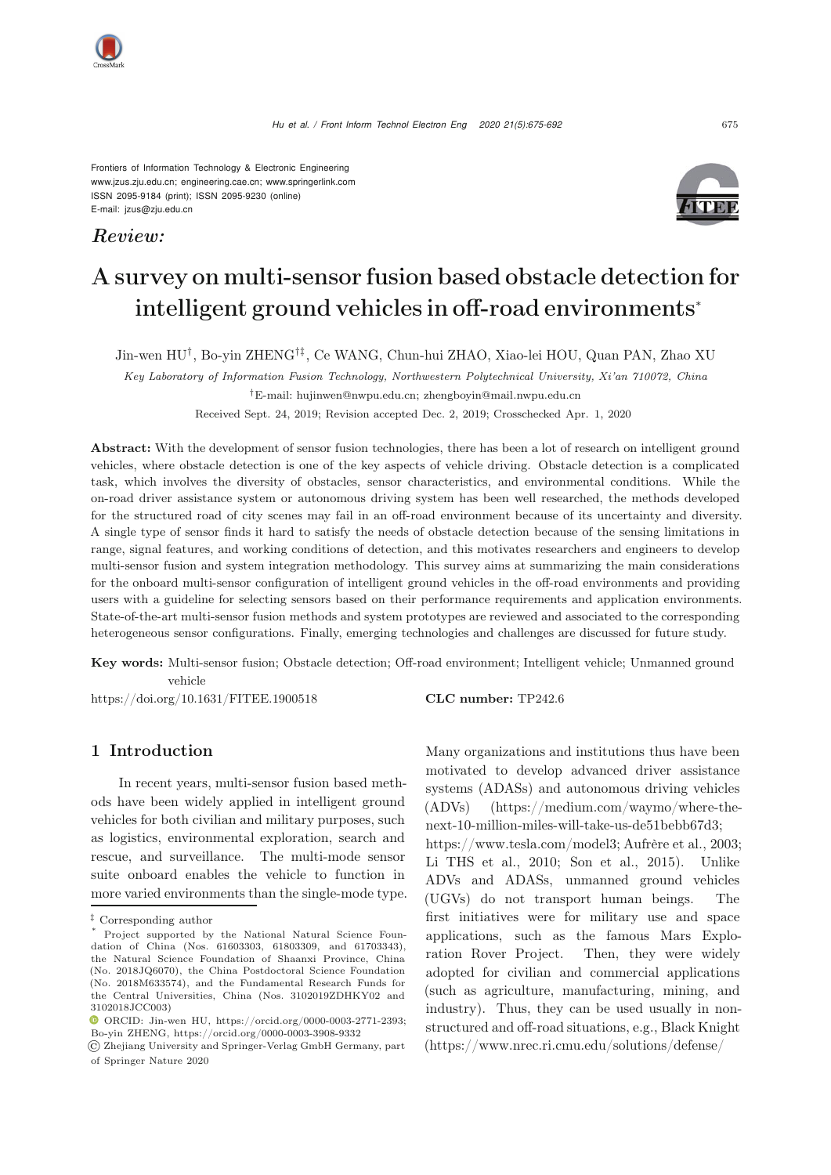Frontiers of Information Technology & Electronic Engineering [www.jzus.zju.edu.cn;](www.jzus.zju.edu.cn) [engineering.cae.cn;](engineering.cae.cn)<www.springerlink.com> ISSN 2095-9184 (print); ISSN 2095-9230 (online) E-mail: jzus@zju.edu.cn

*Review:*



# A survey on multi-sensor fusion based obstacle detection for intelligent ground vehicles in off-road environments<sup>∗</sup>

Jin-wen HU†, Bo-yin ZHENG†‡, Ce WANG, Chun-hui ZHAO, Xiao-lei HOU, Quan PAN, Zhao XU

*Key Laboratory of Information Fusion Technology, Northwestern Polytechnical University, Xi'an 710072, China †*E-mail: hujinwen@nwpu.edu.cn; zhengboyin@mail.nwpu.edu.cn

Received Sept. 24, 2019; Revision accepted Dec. 2, 2019; Crosschecked Apr. 1, 2020

Abstract: With the development of sensor fusion technologies, there has been a lot of research on intelligent ground vehicles, where obstacle detection is one of the key aspects of vehicle driving. Obstacle detection is a complicated task, which involves the diversity of obstacles, sensor characteristics, and environmental conditions. While the on-road driver assistance system or autonomous driving system has been well researched, the methods developed for the structured road of city scenes may fail in an off-road environment because of its uncertainty and diversity. A single type of sensor finds it hard to satisfy the needs of obstacle detection because of the sensing limitations in range, signal features, and working conditions of detection, and this motivates researchers and engineers to develop multi-sensor fusion and system integration methodology. This survey aims at summarizing the main considerations for the onboard multi-sensor configuration of intelligent ground vehicles in the off-road environments and providing users with a guideline for selecting sensors based on their performance requirements and application environments. State-of-the-art multi-sensor fusion methods and system prototypes are reviewed and associated to the corresponding heterogeneous sensor configurations. Finally, emerging technologies and challenges are discussed for future study.

Key words: Multi-sensor fusion; Obstacle detection; Off-road environment; Intelligent vehicle; Unmanned ground vehicle

https://doi.org/10.1631/FITEE.1900518 **CLC number:** TP242.6

# 1 Introduction

In recent years, multi-sensor fusion based methods have been widely applied in intelligent ground vehicles for both civilian and military purposes, such as logistics, environmental exploration, search and rescue, and surveillance. The multi-mode sensor suite onboard enables the vehicle to function in more varied environments than the single-mode type.

Many organizations and institutions thus have been motivated to develop advanced driver assistance systems (ADASs) and autonomous driving vehicles (ADVs) (https://medium.com/waymo/where-thenext-10-million-miles-will-take-us-de51bebb67d3;

https://www.tesla.com/model3; Aufrère et al., 2003; Li THS et al., 2010; Son et al., 2015). Unlike ADVs and ADASs, unmanned ground vehicles (UGVs) do not transport human beings. The first initiatives were for military use and space applications, such as the famous Mars Exploration Rover Project. Then, they were widely adopted for civilian and commercial applications (such as agriculture, manufacturing, mining, and industry). Thus, they can be used usually in nonstructured and off-road situations, e.g., Black Knight (https://www.nrec.ri.cmu.edu/solutions/defense/



*<sup>‡</sup>* Corresponding author

Project supported by the National Natural Science Foundation of China (Nos. 61603303, 61803309, and 61703343), the Natural Science Foundation of Shaanxi Province, China (No. 2018JQ6070), the China Postdoctoral Science Foundation (No. 2018M633574), and the Fundamental Research Funds for the Central Universities, China (Nos. 3102019ZDHKY02 and 3102018JCC003)

ORCID: Jin-wen HU, https://orcid.org/0000-0003-2771-2393; Bo-yin ZHENG, https://orcid.org/0000-0003-3908-9332

<sup>©</sup> Zhejiang University and Springer-Verlag GmbH Germany, part of Springer Nature 2020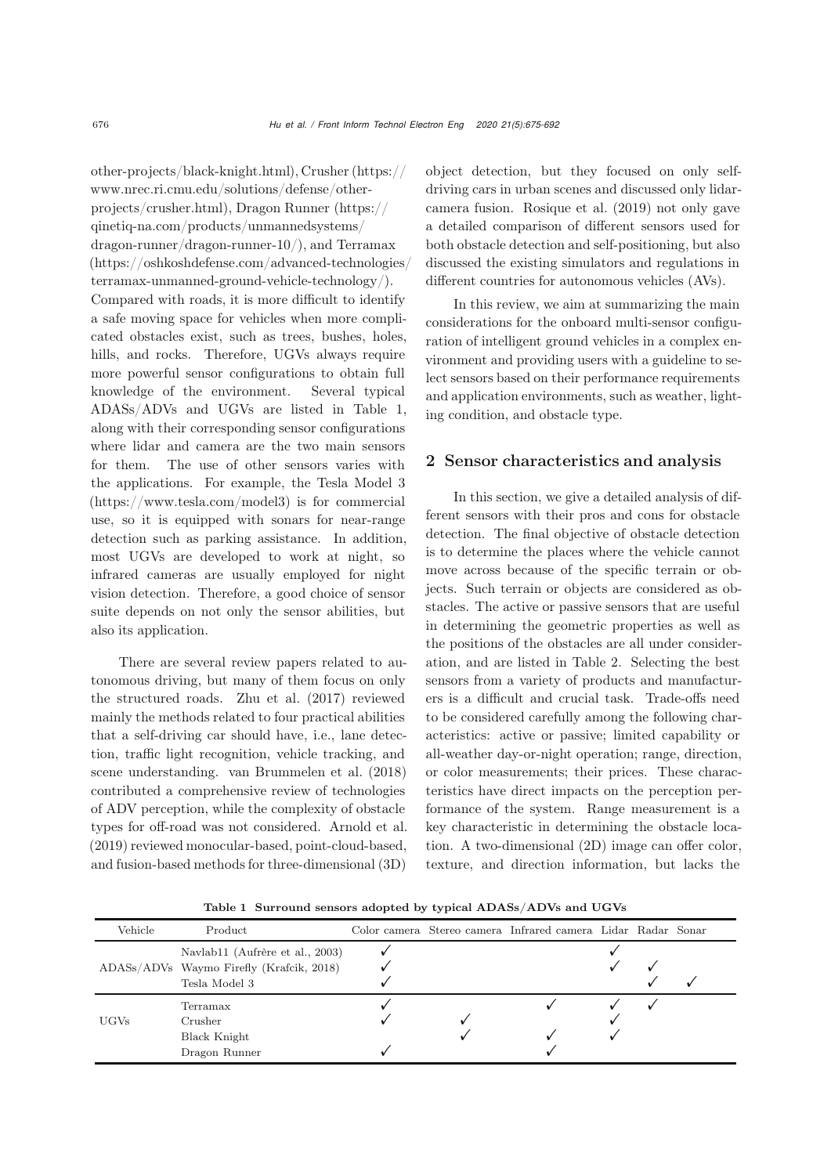other-projects/black-knight.html), Crusher (https:// www.nrec.ri.cmu.edu/solutions/defense/otherprojects/crusher.html), Dragon Runner (https:// qinetiq-na.com/products/unmannedsystems/ dragon-runner/dragon-runner-10/), and Terramax (https://oshkoshdefense.com/advanced-technologies/ terramax-unmanned-ground-vehicle-technology/). Compared with roads, it is more difficult to identify a safe moving space for vehicles when more complicated obstacles exist, such as trees, bushes, holes, hills, and rocks. Therefore, UGVs always require more powerful sensor configurations to obtain full knowledge of the environment. Several typical ADASs/ADVs and UGVs are listed in Table [1,](#page-1-0) along with their corresponding sensor configurations where lidar and camera are the two main sensors for them. The use of other sensors varies with the applications. For example, the Tesla Model 3 (https://www.tesla.com/model3) is for commercial use, so it is equipped with sonars for near-range detection such as parking assistance. In addition, most UGVs are developed to work at night, so infrared cameras are usually employed for night vision detection. Therefore, a good choice of sensor suite depends on not only the sensor abilities, but also its application.

There are several review papers related to autonomous driving, but many of them focus on only the structured roads. [Zhu et al.](#page-17-0) [\(2017\)](#page-17-0) reviewed mainly the methods related to four practical abilities that a self-driving car should have, i.e., lane detection, traffic light recognition, vehicle tracking, and scene understanding. van [Brummelen et al.](#page-17-1) [\(2018\)](#page-17-1) contributed a comprehensive review of technologies of ADV perception, while the complexity of obstacle types for off-road was not considered. [Arnold et al.](#page-14-0) [\(2019\)](#page-14-0) reviewed monocular-based, point-cloud-based, and fusion-based methods for three-dimensional (3D) object detection, but they focused on only selfdriving cars in urban scenes and discussed only lidarcamera fusion. [Rosique et al.](#page-16-0) [\(2019](#page-16-0)) not only gave a detailed comparison of different sensors used for both obstacle detection and self-positioning, but also discussed the existing simulators and regulations in different countries for autonomous vehicles (AVs).

In this review, we aim at summarizing the main considerations for the onboard multi-sensor configuration of intelligent ground vehicles in a complex environment and providing users with a guideline to select sensors based on their performance requirements and application environments, such as weather, lighting condition, and obstacle type.

## 2 Sensor characteristics and analysis

In this section, we give a detailed analysis of different sensors with their pros and cons for obstacle detection. The final objective of obstacle detection is to determine the places where the vehicle cannot move across because of the specific terrain or objects. Such terrain or objects are considered as obstacles. The active or passive sensors that are useful in determining the geometric properties as well as the positions of the obstacles are all under consideration, and are listed in Table [2.](#page-2-0) Selecting the best sensors from a variety of products and manufacturers is a difficult and crucial task. Trade-offs need to be considered carefully among the following characteristics: active or passive; limited capability or all-weather day-or-night operation; range, direction, or color measurements; their prices. These characteristics have direct impacts on the perception performance of the system. Range measurement is a key characteristic in determining the obstacle location. A two-dimensional (2D) image can offer color, texture, and direction information, but lacks the

<span id="page-1-0"></span>Table 1 Surround sensors adopted by typical ADASs/ADVs and UGVs

| Vehicle | Product                                                                                      |  | Color camera Stereo camera Infrared camera Lidar Radar Sonar |  |  |
|---------|----------------------------------------------------------------------------------------------|--|--------------------------------------------------------------|--|--|
|         | Navlab11 (Aufrère et al., 2003)<br>ADASs/ADVs Waymo Firefly (Krafcik, 2018)<br>Tesla Model 3 |  |                                                              |  |  |
| UGVs    | Terramax<br>Crusher<br>Black Knight<br>Dragon Runner                                         |  |                                                              |  |  |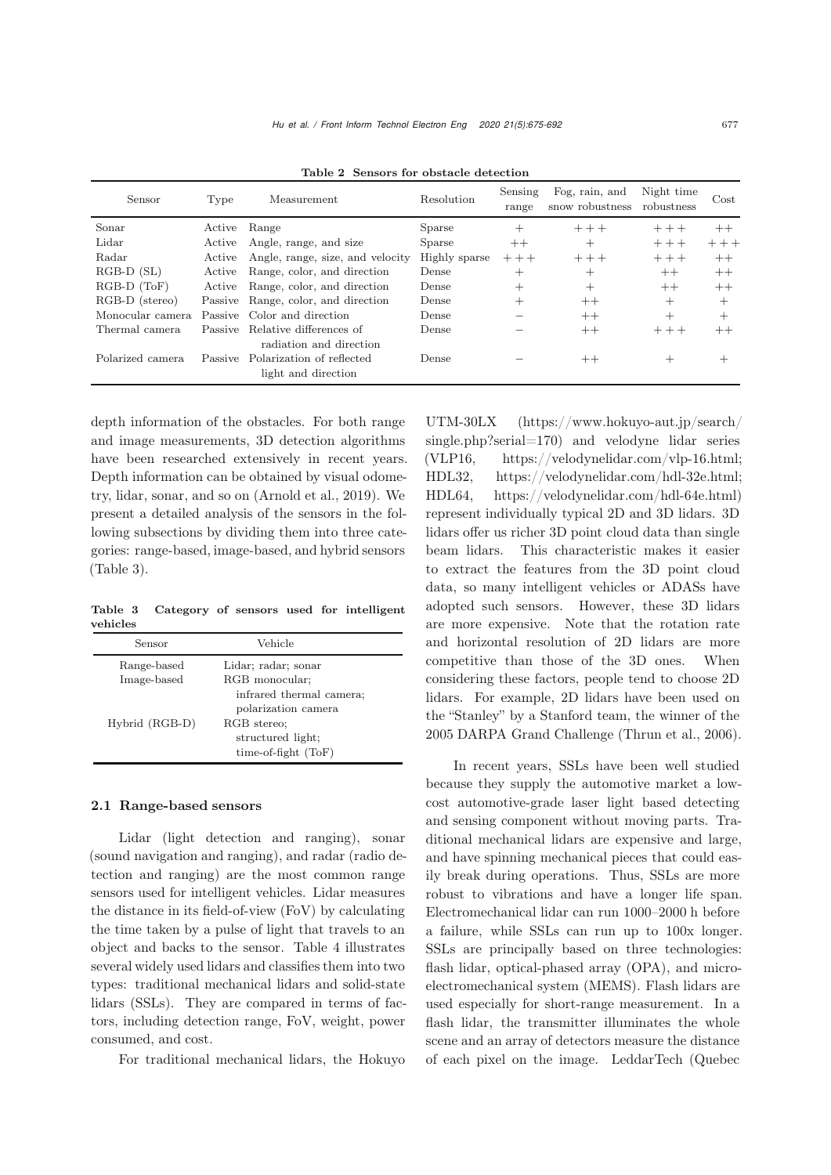| Sensor           | Type    | Measurement                                                                 | Resolution    | Sensing<br>range | Fog. rain, and<br>snow robustness | Night time<br>robustness | Cost    |
|------------------|---------|-----------------------------------------------------------------------------|---------------|------------------|-----------------------------------|--------------------------|---------|
| Sonar            | Active  | Range                                                                       | <b>Sparse</b> | $^+$             | $+++$                             | $++ +$                   | $^{++}$ |
| Lidar            | Active  | Angle, range, and size                                                      | <b>Sparse</b> | $++$             | $^+$                              | $+++$                    | $+++$   |
| Radar            | Active  | Angle, range, size, and velocity                                            | Highly sparse | $+++$            | $+++$                             | $+++$                    | $^{++}$ |
| $RGB-D(SL)$      | Active  | Range, color, and direction                                                 | Dense         | $^+$             | $^+$                              | $++$                     | $++$    |
| $RGB-D$ $(ToF)$  | Active  | Range, color, and direction                                                 | Dense         | $^{+}$           | $\overline{+}$                    | $++$                     | $++$    |
| RGB-D (stereo)   |         | Passive Range, color, and direction                                         | Dense         | $\, +$           | $++$                              | $^{+}$                   | $^{+}$  |
| Monocular camera |         | Passive Color and direction                                                 | Dense         |                  | $++$                              | $^{+}$                   | $^{+}$  |
| Thermal camera   |         | Passive Relative differences of                                             | Dense         |                  | $++$                              | $+++$                    | $^{++}$ |
| Polarized camera | Passive | radiation and direction<br>Polarization of reflected<br>light and direction | Dense         |                  | $^{++}$                           | $^{+}$                   |         |

<span id="page-2-0"></span>Table 2 Sensors for obstacle detection

depth information of the obstacles. For both range and image measurements, 3D detection algorithms have been researched extensively in recent years. Depth information can be obtained by visual odometry, lidar, sonar, and so on [\(Arnold et al.](#page-14-0), [2019\)](#page-14-0). We present a detailed analysis of the sensors in the following subsections by dividing them into three categories: range-based, image-based, and hybrid sensors (Table [3\)](#page-2-1).

<span id="page-2-1"></span>Table 3 Category of sensors used for intelligent vehicles

| Sensor                     | Vehicle                                                                                  |
|----------------------------|------------------------------------------------------------------------------------------|
| Range-based<br>Image-based | Lidar; radar; sonar<br>RGB monocular;<br>infrared thermal camera;<br>polarization camera |
| Hybrid (RGB-D)             | RGB stereo:<br>structured light;<br>$time-of-fight(ToF)$                                 |

## 2.1 Range-based sensors

Lidar (light detection and ranging), sonar (sound navigation and ranging), and radar (radio detection and ranging) are the most common range sensors used for intelligent vehicles. Lidar measures the distance in its field-of-view (FoV) by calculating the time taken by a pulse of light that travels to an object and backs to the sensor. Table [4](#page-3-0) illustrates several widely used lidars and classifies them into two types: traditional mechanical lidars and solid-state lidars (SSLs). They are compared in terms of factors, including detection range, FoV, weight, power consumed, and cost.

For traditional mechanical lidars, the Hokuyo

UTM-30LX (https://www.hokuyo-aut.jp/search/ single.php?serial=170) and velodyne lidar series (VLP16, https://velodynelidar.com/vlp-16.html; HDL32, https://velodynelidar.com/hdl-32e.html; HDL64, https://velodynelidar.com/hdl-64e.html) represent individually typical 2D and 3D lidars. 3D lidars offer us richer 3D point cloud data than single beam lidars. This characteristic makes it easier to extract the features from the 3D point cloud data, so many intelligent vehicles or ADASs have adopted such sensors. However, these 3D lidars are more expensive. Note that the rotation rate and horizontal resolution of 2D lidars are more competitive than those of the 3D ones. When considering these factors, people tend to choose 2D lidars. For example, 2D lidars have been used on the "Stanley" by a Stanford team, the winner of the 2005 DARPA Grand Challenge [\(Thrun et al.](#page-17-2), [2006\)](#page-17-2).

In recent years, SSLs have been well studied because they supply the automotive market a lowcost automotive-grade laser light based detecting and sensing component without moving parts. Traditional mechanical lidars are expensive and large, and have spinning mechanical pieces that could easily break during operations. Thus, SSLs are more robust to vibrations and have a longer life span. Electromechanical lidar can run 1000–2000 h before a failure, while SSLs can run up to 100x longer. SSLs are principally based on three technologies: flash lidar, optical-phased array (OPA), and microelectromechanical system (MEMS). Flash lidars are used especially for short-range measurement. In a flash lidar, the transmitter illuminates the whole scene and an array of detectors measure the distance of each pixel on the image. LeddarTech (Quebec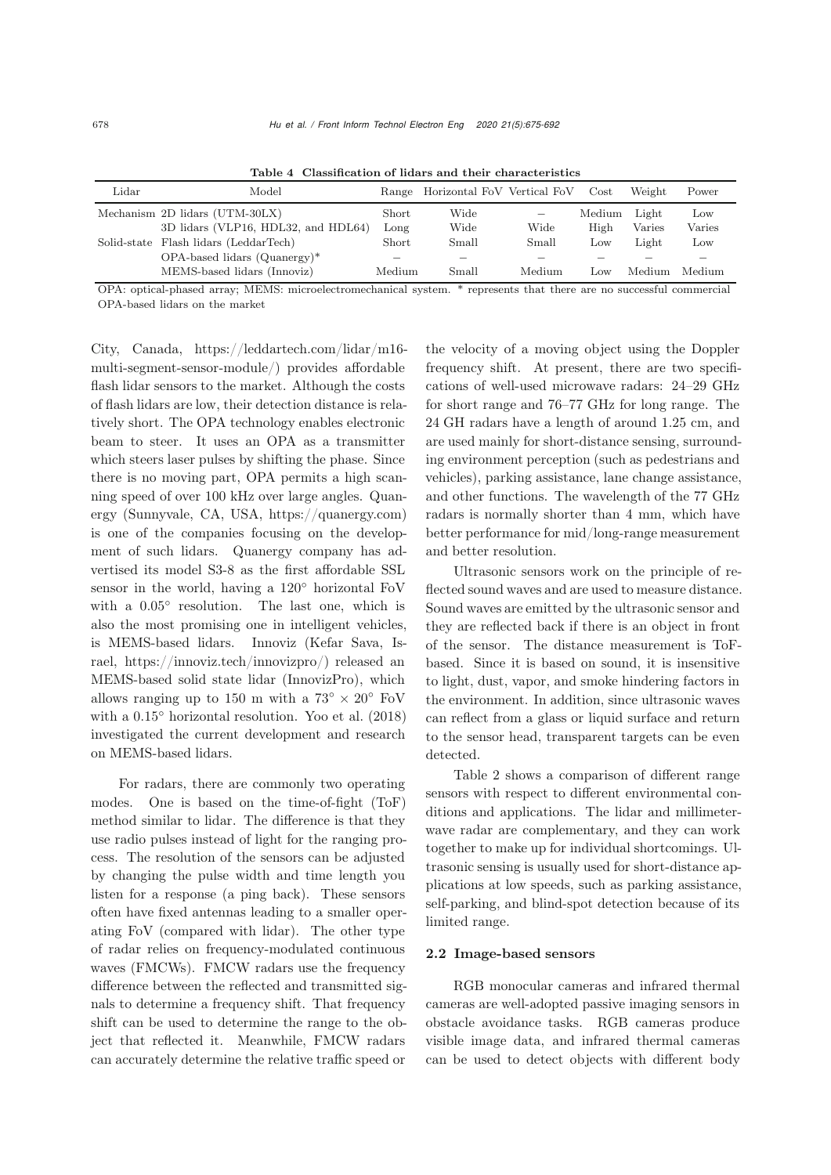| Mechanism 2D lidars (UTM-30LX)<br>Wide<br>Light<br>Medium<br>Short<br>Low<br>$\overline{\phantom{a}}$<br>3D lidars (VLP16, HDL32, and HDL64)<br>Wide<br>Wide<br>Long<br>Varies<br>High<br>Varies<br>Solid-state Flash lidars (LeddarTech)<br>Small<br>Light<br>Short<br>Small<br>Low<br>Low | Power |
|---------------------------------------------------------------------------------------------------------------------------------------------------------------------------------------------------------------------------------------------------------------------------------------------|-------|
|                                                                                                                                                                                                                                                                                             |       |
|                                                                                                                                                                                                                                                                                             |       |
|                                                                                                                                                                                                                                                                                             |       |
| $OPA$ -based lidars $(Quanergy)*$                                                                                                                                                                                                                                                           |       |
| MEMS-based lidars (Innoviz)<br>Medium<br>Medium<br>Small<br>Medium<br>Medium<br>$_{\text{LOW}}$                                                                                                                                                                                             |       |

<span id="page-3-0"></span>Table 4 Classification of lidars and their characteristics

OPA: optical-phased array; MEMS: microelectromechanical system. \* represents that there are no successful commercial OPA-based lidars on the market

City, Canada, https://leddartech.com/lidar/m16 multi-segment-sensor-module/) provides affordable flash lidar sensors to the market. Although the costs of flash lidars are low, their detection distance is relatively short. The OPA technology enables electronic beam to steer. It uses an OPA as a transmitter which steers laser pulses by shifting the phase. Since there is no moving part, OPA permits a high scanning speed of over 100 kHz over large angles. Quanergy (Sunnyvale, CA, USA, https://quanergy.com) is one of the companies focusing on the development of such lidars. Quanergy company has advertised its model S3-8 as the first affordable SSL sensor in the world, having a 120<sup>°</sup> horizontal FoV with a  $0.05^{\circ}$  resolution. The last one, which is also the most promising one in intelligent vehicles, is MEMS-based lidars. Innoviz (Kefar Sava, Israel, https://innoviz.tech/innovizpro/) released an MEMS-based solid state lidar (InnovizPro), which allows ranging up to 150 m with a  $73° \times 20°$  FoV with a 0.15◦ horizontal resolution. [Yoo et al.](#page-17-3) [\(2018\)](#page-17-3) investigated the current development and research on MEMS-based lidars.

For radars, there are commonly two operating modes. One is based on the time-of-fight (ToF) method similar to lidar. The difference is that they use radio pulses instead of light for the ranging process. The resolution of the sensors can be adjusted by changing the pulse width and time length you listen for a response (a ping back). These sensors often have fixed antennas leading to a smaller operating FoV (compared with lidar). The other type of radar relies on frequency-modulated continuous waves (FMCWs). FMCW radars use the frequency difference between the reflected and transmitted signals to determine a frequency shift. That frequency shift can be used to determine the range to the object that reflected it. Meanwhile, FMCW radars can accurately determine the relative traffic speed or

the velocity of a moving object using the Doppler frequency shift. At present, there are two specifications of well-used microwave radars: 24–29 GHz for short range and 76–77 GHz for long range. The 24 GH radars have a length of around 1.25 cm, and are used mainly for short-distance sensing, surrounding environment perception (such as pedestrians and vehicles), parking assistance, lane change assistance, and other functions. The wavelength of the 77 GHz radars is normally shorter than 4 mm, which have better performance for mid/long-range measurement and better resolution.

Ultrasonic sensors work on the principle of reflected sound waves and are used to measure distance. Sound waves are emitted by the ultrasonic sensor and they are reflected back if there is an object in front of the sensor. The distance measurement is ToFbased. Since it is based on sound, it is insensitive to light, dust, vapor, and smoke hindering factors in the environment. In addition, since ultrasonic waves can reflect from a glass or liquid surface and return to the sensor head, transparent targets can be even detected.

Table [2](#page-2-0) shows a comparison of different range sensors with respect to different environmental conditions and applications. The lidar and millimeterwave radar are complementary, and they can work together to make up for individual shortcomings. Ultrasonic sensing is usually used for short-distance applications at low speeds, such as parking assistance, self-parking, and blind-spot detection because of its limited range.

## 2.2 Image-based sensors

RGB monocular cameras and infrared thermal cameras are well-adopted passive imaging sensors in obstacle avoidance tasks. RGB cameras produce visible image data, and infrared thermal cameras can be used to detect objects with different body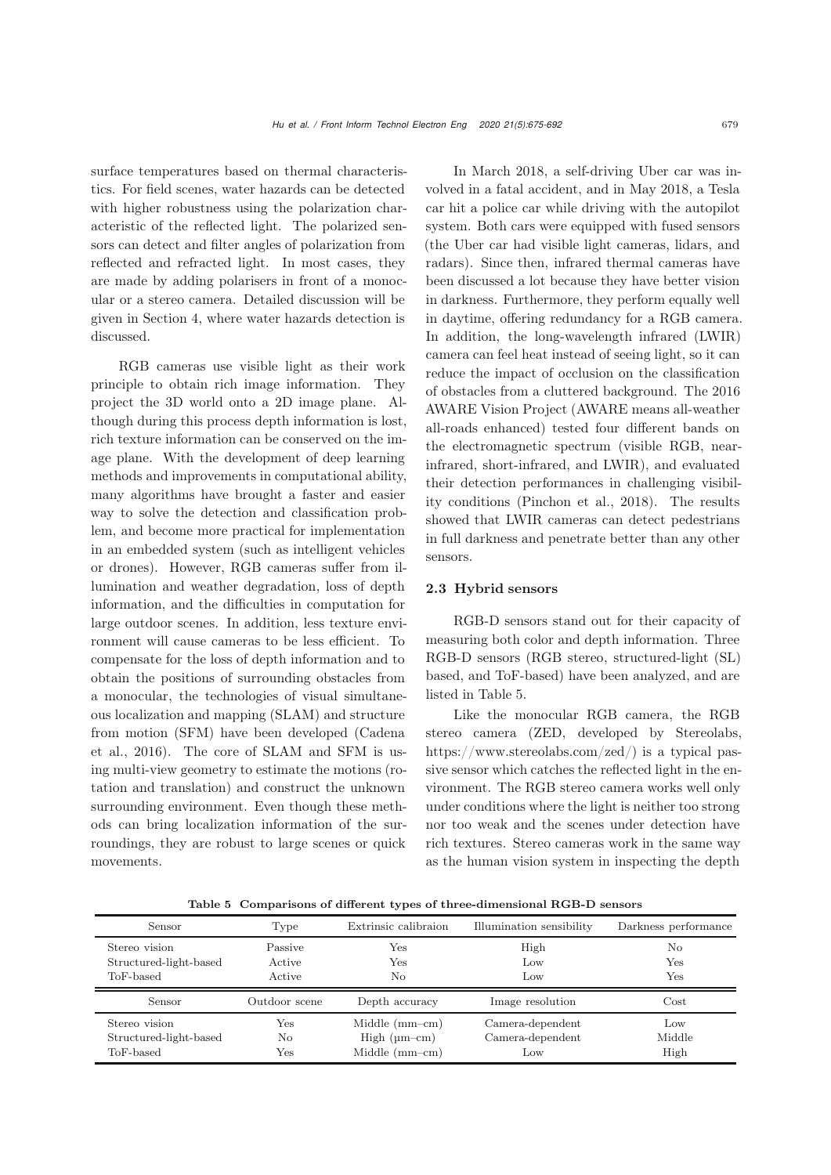surface temperatures based on thermal characteristics. For field scenes, water hazards can be detected with higher robustness using the polarization characteristic of the reflected light. The polarized sensors can detect and filter angles of polarization from reflected and refracted light. In most cases, they are made by adding polarisers in front of a monocular or a stereo camera. Detailed discussion will be given in Section [4,](#page-8-0) where water hazards detection is discussed.

RGB cameras use visible light as their work principle to obtain rich image information. They project the 3D world onto a 2D image plane. Although during this process depth information is lost, rich texture information can be conserved on the image plane. With the development of deep learning methods and improvements in computational ability, many algorithms have brought a faster and easier way to solve the detection and classification problem, and become more practical for implementation in an embedded system (such as intelligent vehicles or drones). However, RGB cameras suffer from illumination and weather degradation, loss of depth information, and the difficulties in computation for large outdoor scenes. In addition, less texture environment will cause cameras to be less efficient. To compensate for the loss of depth information and to obtain the positions of surrounding obstacles from a monocular, the technologies of visual simultaneous localization and mapping (SLAM) and structure from [motion](#page-14-2) [\(SFM\)](#page-14-2) [have](#page-14-2) [been](#page-14-2) [developed](#page-14-2) [\(](#page-14-2)Cadena et al., [2016](#page-14-2)). The core of SLAM and SFM is using multi-view geometry to estimate the motions (rotation and translation) and construct the unknown surrounding environment. Even though these methods can bring localization information of the surroundings, they are robust to large scenes or quick movements.

In March 2018, a self-driving Uber car was involved in a fatal accident, and in May 2018, a Tesla car hit a police car while driving with the autopilot system. Both cars were equipped with fused sensors (the Uber car had visible light cameras, lidars, and radars). Since then, infrared thermal cameras have been discussed a lot because they have better vision in darkness. Furthermore, they perform equally well in daytime, offering redundancy for a RGB camera. In addition, the long-wavelength infrared (LWIR) camera can feel heat instead of seeing light, so it can reduce the impact of occlusion on the classification of obstacles from a cluttered background. The 2016 AWARE Vision Project (AWARE means all-weather all-roads enhanced) tested four different bands on the electromagnetic spectrum (visible RGB, nearinfrared, short-infrared, and LWIR), and evaluated their detection performances in challenging visibility conditions [\(Pinchon et al.](#page-16-1), [2018\)](#page-16-1). The results showed that LWIR cameras can detect pedestrians in full darkness and penetrate better than any other sensors.

# 2.3 Hybrid sensors

RGB-D sensors stand out for their capacity of measuring both color and depth information. Three RGB-D sensors (RGB stereo, structured-light (SL) based, and ToF-based) have been analyzed, and are listed in Table [5.](#page-4-0)

Like the monocular RGB camera, the RGB stereo camera (ZED, developed by Stereolabs, https://www.stereolabs.com/zed/) is a typical passive sensor which catches the reflected light in the environment. The RGB stereo camera works well only under conditions where the light is neither too strong nor too weak and the scenes under detection have rich textures. Stereo cameras work in the same way as the human vision system in inspecting the depth

<span id="page-4-0"></span>Table 5 Comparisons of different types of three-dimensional RGB-D sensors

| Sensor                                               | Type                        | Extrinsic calibraion | Illumination sensibility | Darkness performance |
|------------------------------------------------------|-----------------------------|----------------------|--------------------------|----------------------|
| Stereo vision<br>Structured-light-based<br>ToF-based | Passive<br>Active<br>Active | Yes<br>Yes<br>No     | High<br>Low<br>Low       | No<br>Yes<br>Yes     |
|                                                      |                             |                      |                          |                      |
| Sensor                                               | Outdoor scene               | Depth accuracy       | Image resolution         | Cost                 |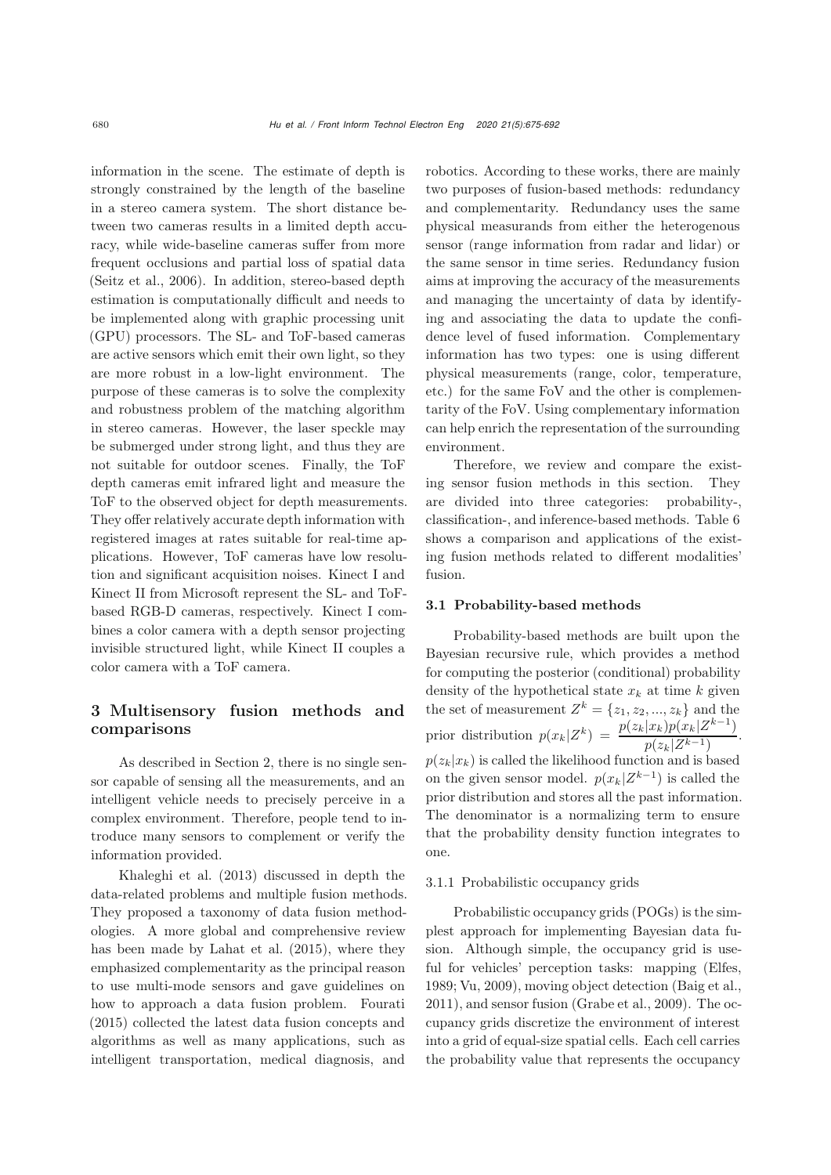information in the scene. The estimate of depth is strongly constrained by the length of the baseline in a stereo camera system. The short distance between two cameras results in a limited depth accuracy, while wide-baseline cameras suffer from more frequent occlusions and partial loss of spatial data [\(Seitz et al., 2006](#page-16-2)). In addition, stereo-based depth estimation is computationally difficult and needs to be implemented along with graphic processing unit (GPU) processors. The SL- and ToF-based cameras are active sensors which emit their own light, so they are more robust in a low-light environment. The purpose of these cameras is to solve the complexity and robustness problem of the matching algorithm in stereo cameras. However, the laser speckle may be submerged under strong light, and thus they are not suitable for outdoor scenes. Finally, the ToF depth cameras emit infrared light and measure the ToF to the observed object for depth measurements. They offer relatively accurate depth information with registered images at rates suitable for real-time applications. However, ToF cameras have low resolution and significant acquisition noises. Kinect I and Kinect II from Microsoft represent the SL- and ToFbased RGB-D cameras, respectively. Kinect I combines a color camera with a depth sensor projecting invisible structured light, while Kinect II couples a color camera with a ToF camera.

# 3 Multisensory fusion methods and comparisons

As described in Section 2, there is no single sensor capable of sensing all the measurements, and an intelligent vehicle needs to precisely perceive in a complex environment. Therefore, people tend to introduce many sensors to complement or verify the information provided.

Khaleghi et al. [\(2013\)](#page-15-1) discussed in depth the data-related problems and multiple fusion methods. They proposed a taxonomy of data fusion methodologies. A more global and comprehensive review has been made by [Lahat et al.](#page-16-3) [\(2015\)](#page-16-3), where they emphasized complementarity as the principal reason to use multi-mode sensors and gave guidelines on how to approach a data fusion problem. [Fourati](#page-15-2) [\(2015\)](#page-15-2) collected the latest data fusion concepts and algorithms as well as many applications, such as intelligent transportation, medical diagnosis, and

robotics. According to these works, there are mainly two purposes of fusion-based methods: redundancy and complementarity. Redundancy uses the same physical measurands from either the heterogenous sensor (range information from radar and lidar) or the same sensor in time series. Redundancy fusion aims at improving the accuracy of the measurements and managing the uncertainty of data by identifying and associating the data to update the confidence level of fused information. Complementary information has two types: one is using different physical measurements (range, color, temperature, etc.) for the same FoV and the other is complementarity of the FoV. Using complementary information can help enrich the representation of the surrounding environment.

Therefore, we review and compare the existing sensor fusion methods in this section. They are divided into three categories: probability-, classification-, and inference-based methods. Table [6](#page-6-0) shows a comparison and applications of the existing fusion methods related to different modalities' fusion.

## 3.1 Probability-based methods

Probability-based methods are built upon the Bayesian recursive rule, which provides a method for computing the posterior (conditional) probability density of the hypothetical state  $x_k$  at time k given the set of measurement  $Z^k = \{z_1, z_2, ..., z_k\}$  and the prior distribution  $p(x_k|Z^k) = \frac{p(z_k|x_k)p(x_k|Z^{k-1})}{p(z_k|Z^{k-1})}$ .  $p(z_k|x_k)$  is called the likelihood function and is based on the given sensor model.  $p(x_k|Z^{k-1})$  is called the prior distribution and stores all the past information. The denominator is a normalizing term to ensure that the probability density function integrates to one.

## 3.1.1 Probabilistic occupancy grids

Probabilistic occupancy grids (POGs) is the simplest approach for implementing Bayesian data fusion. Although simple, the occupancy grid is useful for vehicles' perception tasks: mapping [\(Elfes,](#page-15-3) [1989;](#page-15-3) [Vu, 2009](#page-17-4)), moving object detection [\(Baig et al.,](#page-14-3) [2011](#page-14-3)), and sensor fusion [\(Grabe et al., 2009\)](#page-15-4). The occupancy grids discretize the environment of interest into a grid of equal-size spatial cells. Each cell carries the probability value that represents the occupancy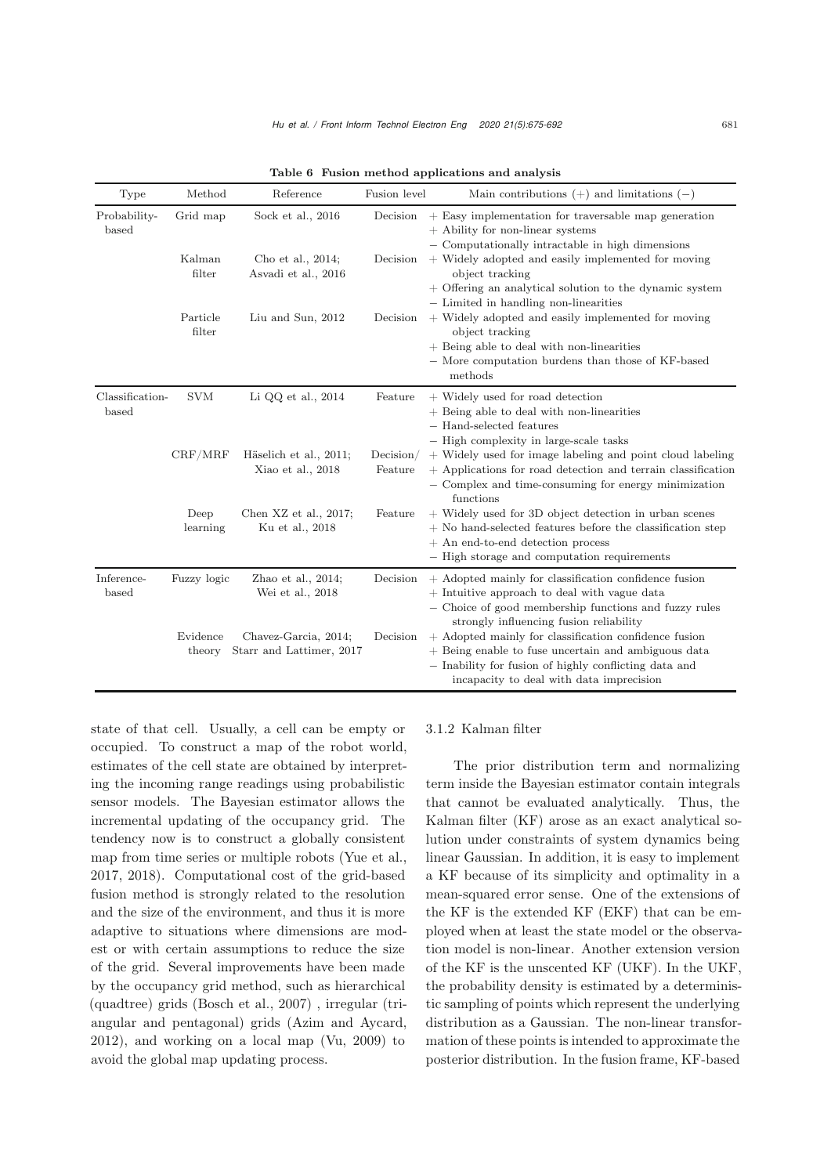| Type                     | Method                       | Reference                                                     | Fusion level         | Main contributions $(+)$ and limitations $(-)$                                                                                                                                                                                                                                         |
|--------------------------|------------------------------|---------------------------------------------------------------|----------------------|----------------------------------------------------------------------------------------------------------------------------------------------------------------------------------------------------------------------------------------------------------------------------------------|
| Probability-<br>based    | Grid map<br>Kalman<br>filter | Sock et al., 2016<br>Cho et al., 2014;<br>Asvadi et al., 2016 | Decision<br>Decision | $+$ Easy implementation for traversable map generation<br>$+$ Ability for non-linear systems<br>- Computationally intractable in high dimensions<br>$+$ Widely adopted and easily implemented for moving<br>object tracking<br>+ Offering an analytical solution to the dynamic system |
|                          | Particle<br>filter           | Liu and Sun, 2012                                             | Decision             | - Limited in handling non-linearities<br>+ Widely adopted and easily implemented for moving<br>object tracking<br>$+$ Being able to deal with non-linearities<br>- More computation burdens than those of KF-based<br>methods                                                          |
| Classification-<br>based | <b>SVM</b>                   | Li QQ et al., 2014                                            | Feature              | + Widely used for road detection<br>$+$ Being able to deal with non-linearities<br>- Hand-selected features<br>- High complexity in large-scale tasks                                                                                                                                  |
|                          | CRF/MRF                      | Häselich et al., 2011;<br>Xiao et al., 2018                   | Decision/<br>Feature | + Widely used for image labeling and point cloud labeling<br>+ Applications for road detection and terrain classification<br>$-$ Complex and time-consuming for energy minimization<br>functions                                                                                       |
|                          | Deep<br>learning             | Chen $XZ$ et al., 2017;<br>Ku et al., 2018                    | Feature              | + Widely used for 3D object detection in urban scenes<br>$+$ No hand-selected features before the classification step<br>$+$ An end-to-end detection process<br>- High storage and computation requirements                                                                            |
| Inference-<br>based      | Fuzzy logic                  | Zhao et al., $2014$ ;<br>Wei et al., 2018                     | Decision             | + Adopted mainly for classification confidence fusion<br>$+$ Intuitive approach to deal with vague data<br>- Choice of good membership functions and fuzzy rules<br>strongly influencing fusion reliability                                                                            |
|                          | Evidence<br>theory           | Chavez-Garcia, 2014;<br>Starr and Lattimer, 2017              | Decision             | $+$ Adopted mainly for classification confidence fusion<br>$+$ Being enable to fuse uncertain and ambiguous data<br>- Inability for fusion of highly conflicting data and<br>incapacity to deal with data imprecision                                                                  |

<span id="page-6-0"></span>Table 6 Fusion method applications and analysis

state of that cell. Usually, a cell can be empty or occupied. To construct a map of the robot world, estimates of the cell state are obtained by interpreting the incoming range readings using probabilistic sensor models. The Bayesian estimator allows the incremental updating of the occupancy grid. The tendency now is to construct a globally consistent map from time series or multiple robots [\(Yue et al.,](#page-17-5) [2017](#page-17-5), [2018\)](#page-17-6). Computational cost of the grid-based fusion method is strongly related to the resolution and the size of the environment, and thus it is more adaptive to situations where dimensions are modest or with certain assumptions to reduce the size of the grid. Several improvements have been made by the occupancy grid method, such as hierarchical (quadtree) grids [\(Bosch et al.](#page-14-4), [2007\)](#page-14-4) , irregular (triangular and pentagonal) grids [\(Azim and Aycard,](#page-14-5) [2012](#page-14-5)), and working on a local map [\(Vu](#page-17-4), [2009](#page-17-4)) to avoid the global map updating process.

#### 3.1.2 Kalman filter

The prior distribution term and normalizing term inside the Bayesian estimator contain integrals that cannot be evaluated analytically. Thus, the Kalman filter (KF) arose as an exact analytical solution under constraints of system dynamics being linear Gaussian. In addition, it is easy to implement a KF because of its simplicity and optimality in a mean-squared error sense. One of the extensions of the KF is the extended KF (EKF) that can be employed when at least the state model or the observation model is non-linear. Another extension version of the KF is the unscented KF (UKF). In the UKF, the probability density is estimated by a deterministic sampling of points which represent the underlying distribution as a Gaussian. The non-linear transformation of these points is intended to approximate the posterior distribution. In the fusion frame, KF-based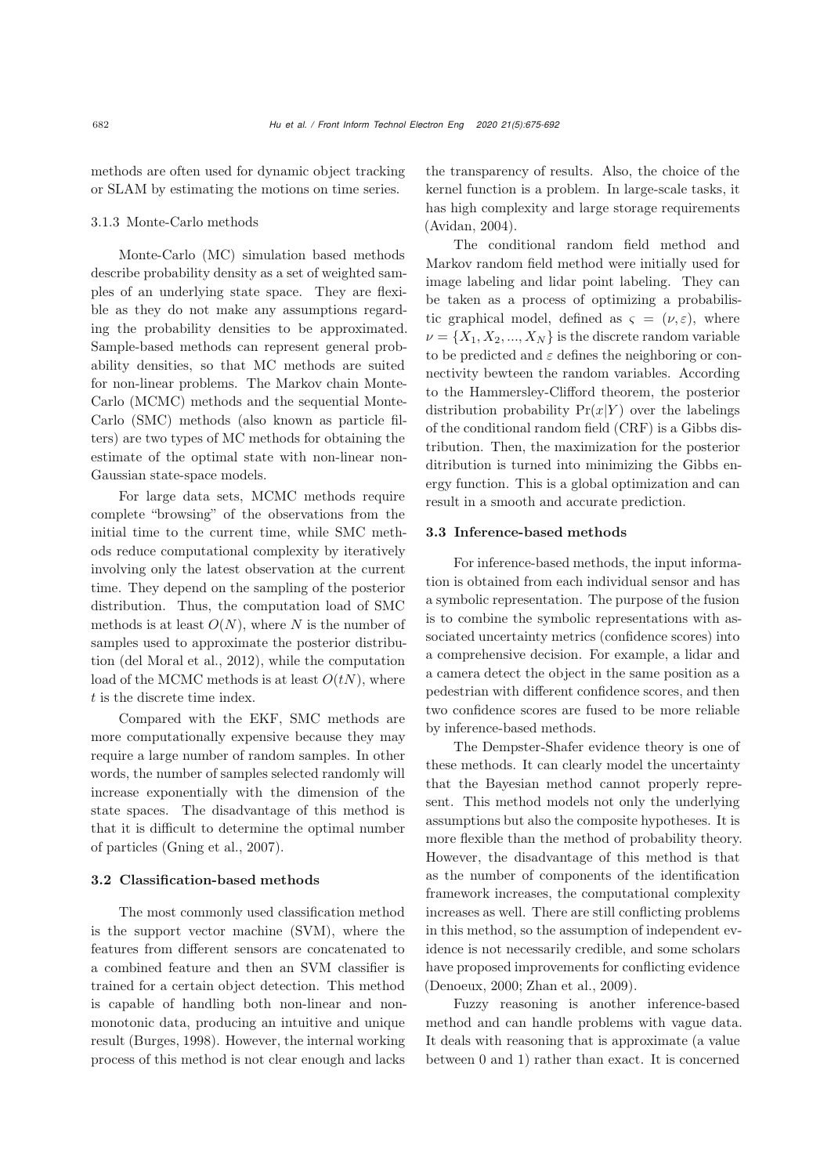methods are often used for dynamic object tracking or SLAM by estimating the motions on time series.

## 3.1.3 Monte-Carlo methods

Monte-Carlo (MC) simulation based methods describe probability density as a set of weighted samples of an underlying state space. They are flexible as they do not make any assumptions regarding the probability densities to be approximated. Sample-based methods can represent general probability densities, so that MC methods are suited for non-linear problems. The Markov chain Monte-Carlo (MCMC) methods and the sequential Monte-Carlo (SMC) methods (also known as particle filters) are two types of MC methods for obtaining the estimate of the optimal state with non-linear non-Gaussian state-space models.

For large data sets, MCMC methods require complete "browsing" of the observations from the initial time to the current time, while SMC methods reduce computational complexity by iteratively involving only the latest observation at the current time. They depend on the sampling of the posterior distribution. Thus, the computation load of SMC methods is at least  $O(N)$ , where N is the number of samples used to approximate the posterior distribution [\(del Moral et al., 2012\)](#page-14-6), while the computation load of the MCMC methods is at least  $O(tN)$ , where t is the discrete time index.

Compared with the EKF, SMC methods are more computationally expensive because they may require a large number of random samples. In other words, the number of samples selected randomly will increase exponentially with the dimension of the state spaces. The disadvantage of this method is that it is difficult to determine the optimal number of particles [\(Gning et al.](#page-15-5), [2007](#page-15-5)).

## 3.2 Classification-based methods

The most commonly used classification method is the support vector machine (SVM), where the features from different sensors are concatenated to a combined feature and then an SVM classifier is trained for a certain object detection. This method is capable of handling both non-linear and nonmonotonic data, producing an intuitive and unique result [\(Burges, 1998](#page-14-7)). However, the internal working process of this method is not clear enough and lacks

the transparency of results. Also, the choice of the kernel function is a problem. In large-scale tasks, it has high complexity and large storage requirements [\(Avidan](#page-14-8), [2004](#page-14-8)).

The conditional random field method and Markov random field method were initially used for image labeling and lidar point labeling. They can be taken as a process of optimizing a probabilistic graphical model, defined as  $\varsigma = (\nu, \varepsilon)$ , where  $\nu = \{X_1, X_2, ..., X_N\}$  is the discrete random variable to be predicted and  $\varepsilon$  defines the neighboring or connectivity bewteen the random variables. According to the Hammersley-Clifford theorem, the posterior distribution probability  $Pr(x|Y)$  over the labelings of the conditional random field (CRF) is a Gibbs distribution. Then, the maximization for the posterior ditribution is turned into minimizing the Gibbs energy function. This is a global optimization and can result in a smooth and accurate prediction.

## 3.3 Inference-based methods

For inference-based methods, the input information is obtained from each individual sensor and has a symbolic representation. The purpose of the fusion is to combine the symbolic representations with associated uncertainty metrics (confidence scores) into a comprehensive decision. For example, a lidar and a camera detect the object in the same position as a pedestrian with different confidence scores, and then two confidence scores are fused to be more reliable by inference-based methods.

The Dempster-Shafer evidence theory is one of these methods. It can clearly model the uncertainty that the Bayesian method cannot properly represent. This method models not only the underlying assumptions but also the composite hypotheses. It is more flexible than the method of probability theory. However, the disadvantage of this method is that as the number of components of the identification framework increases, the computational complexity increases as well. There are still conflicting problems in this method, so the assumption of independent evidence is not necessarily credible, and some scholars have proposed improvements for conflicting evidence [\(Denoeux, 2000;](#page-15-6) [Zhan et al.](#page-17-7), [2009](#page-17-7)).

Fuzzy reasoning is another inference-based method and can handle problems with vague data. It deals with reasoning that is approximate (a value between 0 and 1) rather than exact. It is concerned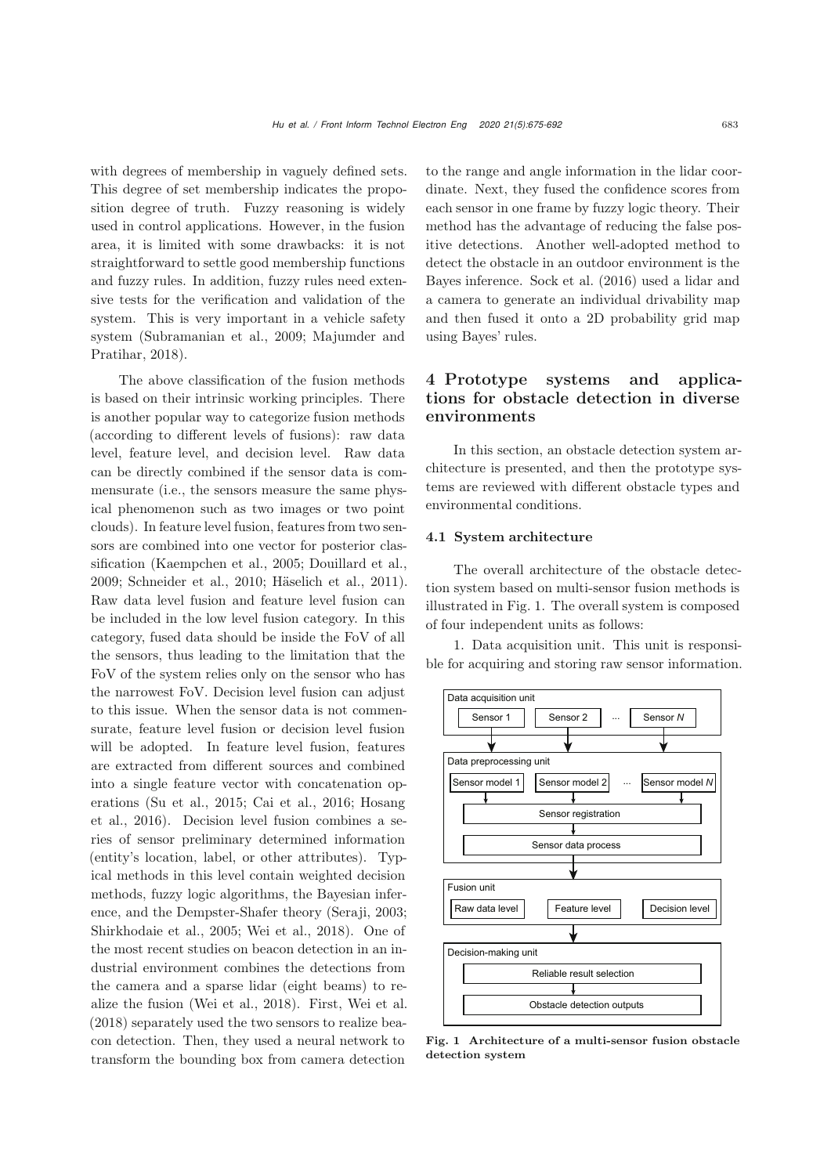with degrees of membership in vaguely defined sets. This degree of set membership indicates the proposition degree of truth. Fuzzy reasoning is widely used in control applications. However, in the fusion area, it is limited with some drawbacks: it is not straightforward to settle good membership functions and fuzzy rules. In addition, fuzzy rules need extensive tests for the verification and validation of the system. This is very important in a vehicle safety system [\(Subramanian et al.](#page-17-8)[,](#page-16-4) [2009](#page-17-8)[;](#page-16-4) Majumder and Pratihar, [2018\)](#page-16-4).

The above classification of the fusion methods is based on their intrinsic working principles. There is another popular way to categorize fusion methods (according to different levels of fusions): raw data level, feature level, and decision level. Raw data can be directly combined if the sensor data is commensurate (i.e., the sensors measure the same physical phenomenon such as two images or two point clouds). In feature level fusion, features from two sensors are combined into one vector for posterior classification [\(Kaempchen et al., 2005](#page-15-7); [Douillard et al.,](#page-15-8) [2009](#page-15-8); [Schneider et al.](#page-16-5), [2010](#page-16-5); [Häselich et al.](#page-15-9), [2011\)](#page-15-9). Raw data level fusion and feature level fusion can be included in the low level fusion category. In this category, fused data should be inside the FoV of all the sensors, thus leading to the limitation that the FoV of the system relies only on the sensor who has the narrowest FoV. Decision level fusion can adjust to this issue. When the sensor data is not commensurate, feature level fusion or decision level fusion will be adopted. In feature level fusion, features are extracted from different sources and combined into a single feature vector with concatenation operati[ons](#page-15-10) [\(Su et al.](#page-17-9)[,](#page-15-10) [2015](#page-17-9)[;](#page-15-10) [Cai et al.](#page-14-9)[,](#page-15-10) [2016](#page-14-9)[;](#page-15-10) Hosang et al., [2016\)](#page-15-10). Decision level fusion combines a series of sensor preliminary determined information (entity's location, label, or other attributes). Typical methods in this level contain weighted decision methods, fuzzy logic algorithms, the Bayesian inference, and the Dempster-Shafer theory [\(Seraji, 2003](#page-17-10); [Shirkhodaie et al., 2005](#page-17-11); [Wei et al.](#page-17-12), [2018](#page-17-12)). One of the most recent studies on beacon detection in an industrial environment combines the detections from the camera and a sparse lidar (eight beams) to realize the fusion [\(Wei et al.](#page-17-12), [2018\)](#page-17-12). First, [Wei et al.](#page-17-12) [\(2018\)](#page-17-12) separately used the two sensors to realize beacon detection. Then, they used a neural network to transform the bounding box from camera detection

to the range and angle information in the lidar coordinate. Next, they fused the confidence scores from each sensor in one frame by fuzzy logic theory. Their method has the advantage of reducing the false positive detections. Another well-adopted method to detect the obstacle in an outdoor environment is the Bayes inference. [Sock et al.](#page-17-13) [\(2016\)](#page-17-13) used a lidar and a camera to generate an individual drivability map and then fused it onto a 2D probability grid map using Bayes' rules.

# <span id="page-8-0"></span>4 Prototype systems and applications for obstacle detection in diverse environments

In this section, an obstacle detection system architecture is presented, and then the prototype systems are reviewed with different obstacle types and environmental conditions.

## 4.1 System architecture

The overall architecture of the obstacle detection system based on multi-sensor fusion methods is illustrated in Fig. [1.](#page-8-1) The overall system is composed of four independent units as follows:

1. Data acquisition unit. This unit is responsible for acquiring and storing raw sensor information.



<span id="page-8-1"></span>Fig. 1 Architecture of a multi-sensor fusion obstacle detection system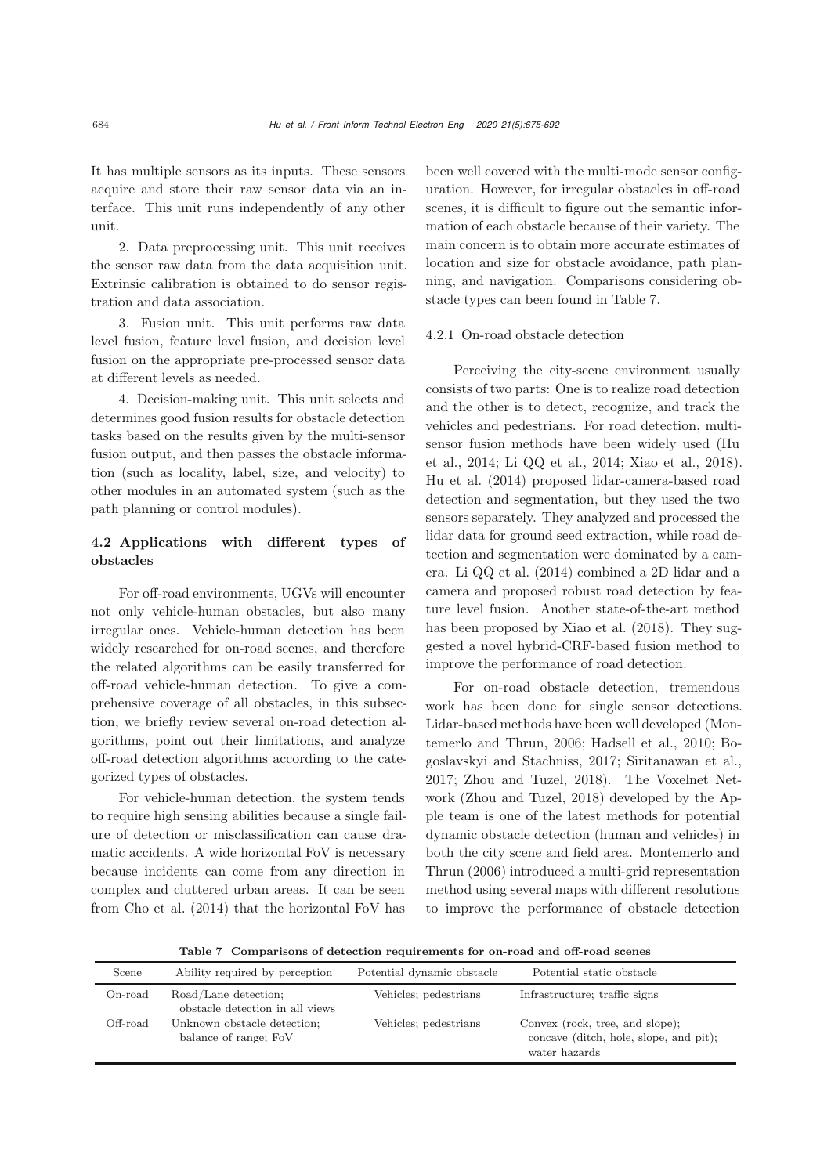It has multiple sensors as its inputs. These sensors acquire and store their raw sensor data via an interface. This unit runs independently of any other unit.

2. Data preprocessing unit. This unit receives the sensor raw data from the data acquisition unit. Extrinsic calibration is obtained to do sensor registration and data association.

3. Fusion unit. This unit performs raw data level fusion, feature level fusion, and decision level fusion on the appropriate pre-processed sensor data at different levels as needed.

4. Decision-making unit. This unit selects and determines good fusion results for obstacle detection tasks based on the results given by the multi-sensor fusion output, and then passes the obstacle information (such as locality, label, size, and velocity) to other modules in an automated system (such as the path planning or control modules).

# 4.2 Applications with different types of obstacles

For off-road environments, UGVs will encounter not only vehicle-human obstacles, but also many irregular ones. Vehicle-human detection has been widely researched for on-road scenes, and therefore the related algorithms can be easily transferred for off-road vehicle-human detection. To give a comprehensive coverage of all obstacles, in this subsection, we briefly review several on-road detection algorithms, point out their limitations, and analyze off-road detection algorithms according to the categorized types of obstacles.

For vehicle-human detection, the system tends to require high sensing abilities because a single failure of detection or misclassification can cause dramatic accidents. A wide horizontal FoV is necessary because incidents can come from any direction in complex and cluttered urban areas. It can be seen from [Cho et al.](#page-14-10) [\(2014](#page-14-10)) that the horizontal FoV has

been well covered with the multi-mode sensor configuration. However, for irregular obstacles in off-road scenes, it is difficult to figure out the semantic information of each obstacle because of their variety. The main concern is to obtain more accurate estimates of location and size for obstacle avoidance, path planning, and navigation. Comparisons considering obstacle types can been found in Table [7.](#page-9-0)

## 4.2.1 On-road obstacle detection

Perceiving the city-scene environment usually consists of two parts: One is to realize road detection and the other is to detect, recognize, and track the vehicles and pedestrians. For road detection, multisenso[r](#page-15-11) [fusion](#page-15-11) [methods](#page-15-11) [have](#page-15-11) [been](#page-15-11) [widely](#page-15-11) [used](#page-15-11) [\(](#page-15-11)Hu et al., [2014](#page-15-11); [Li QQ et al., 2014;](#page-16-6) [Xiao et al., 2018\)](#page-17-14). [Hu et al.](#page-15-11) [\(2014](#page-15-11)) proposed lidar-camera-based road detection and segmentation, but they used the two sensors separately. They analyzed and processed the lidar data for ground seed extraction, while road detection and segmentation were dominated by a camera. [Li QQ et al.](#page-16-6) [\(2014\)](#page-16-6) combined a 2D lidar and a camera and proposed robust road detection by feature level fusion. Another state-of-the-art method has been proposed by [Xiao et al.](#page-17-14) [\(2018](#page-17-14)). They suggested a novel hybrid-CRF-based fusion method to improve the performance of road detection.

For on-road obstacle detection, tremendous work has been done for single sensor detections. Lidar-based metho[ds](#page-16-7) [have](#page-16-7) [been](#page-16-7) [well](#page-16-7) [developed](#page-16-7) [\(](#page-16-7)Montemerlo and Thrun, [2006](#page-16-7)[;](#page-14-11) [Hadsell et al., 2010](#page-15-12)[;](#page-14-11) Bogoslavskyi and Stachniss, [2017;](#page-14-11) [Siritanawan et al.,](#page-17-15) [2017](#page-17-15); [Zhou and Tuzel, 2018\)](#page-17-16). The Voxelnet Network [\(Zhou and Tuzel, 2018](#page-17-16)) developed by the Apple team is one of the latest methods for potential dynamic obstacle detection (human and vehicles) in both t[he](#page-16-7) [city](#page-16-7) [scene](#page-16-7) [and](#page-16-7) [field](#page-16-7) [area.](#page-16-7) Montemerlo and Thrun [\(2006\)](#page-16-7) introduced a multi-grid representation method using several maps with different resolutions to improve the performance of obstacle detection

<span id="page-9-0"></span>Table 7 Comparisons of detection requirements for on-road and off-road scenes

| Scene      | Ability required by perception                          | Potential dynamic obstacle | Potential static obstacle                                                                  |
|------------|---------------------------------------------------------|----------------------------|--------------------------------------------------------------------------------------------|
| $On$ -road | Road/Lane detection;<br>obstacle detection in all views | Vehicles; pedestrians      | Infrastructure; traffic signs                                                              |
| Off-road   | Unknown obstacle detection;<br>balance of range; FoV    | Vehicles; pedestrians      | Convex (rock, tree, and slope);<br>concave (ditch, hole, slope, and pit);<br>water hazards |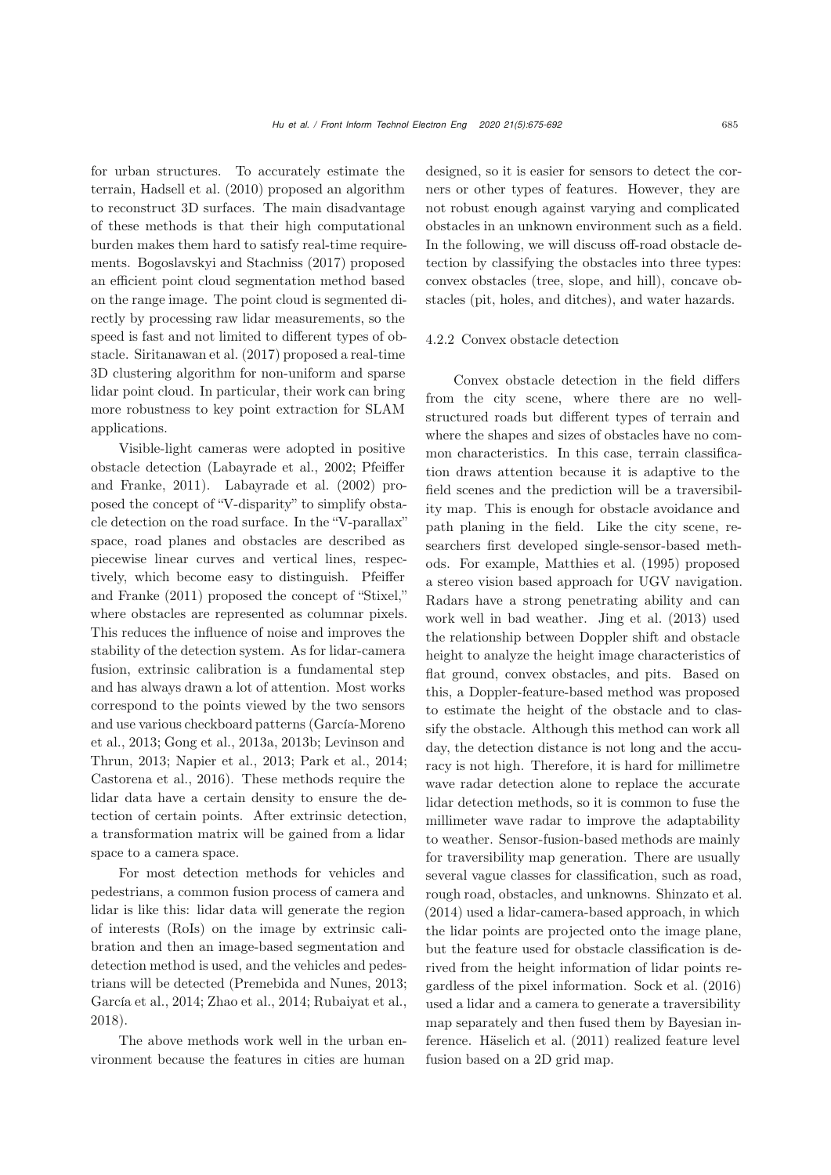for urban structures. To accurately estimate the terrain, [Hadsell et al.](#page-15-12) [\(2010](#page-15-12)) proposed an algorithm to reconstruct 3D surfaces. The main disadvantage of these methods is that their high computational burden makes them hard to satisfy real-time requirements. [Bogoslavskyi and Stachniss](#page-14-11) [\(2017](#page-14-11)) proposed an efficient point cloud segmentation method based on the range image. The point cloud is segmented directly by processing raw lidar measurements, so the speed is fast and not limited to different types of obstacle. [Siritanawan et al.](#page-17-15) [\(2017](#page-17-15)) proposed a real-time 3D clustering algorithm for non-uniform and sparse lidar point cloud. In particular, their work can bring more robustness to key point extraction for SLAM applications.

Visible-light cameras were adopted in positive obstacle de[tection](#page-16-8) [\(Labayrade et al.](#page-15-13)[,](#page-16-8) [2002](#page-15-13)[;](#page-16-8) Pfeiffer and Franke, [2011](#page-16-8)). [Labayrade et al.](#page-15-13) [\(2002](#page-15-13)) proposed the concept of "V-disparity" to simplify obstacle detection on the road surface. In the "V-parallax" space, road planes and obstacles are described as piecewise linear curves and vertical lines, respectively, whi[ch](#page-16-8) [become](#page-16-8) [easy](#page-16-8) [to](#page-16-8) [distinguish.](#page-16-8) Pfeiffer and Franke [\(2011\)](#page-16-8) proposed the concept of "Stixel," where obstacles are represented as columnar pixels. This reduces the influence of noise and improves the stability of the detection system. As for lidar-camera fusion, extrinsic calibration is a fundamental step and has always drawn a lot of attention. Most works correspond to the points viewed by the two sensors and use various checkboard patterns (García-Moreno et al., 2013; Gong et al., 2013a, 2013b; Levinson and Thrun, 2013; Napier et al., 2013; Park et al., 2014; Castorena et al., 2016). These methods require the lidar data have a certain density to ensure the detection of certain points. After extrinsic detection, a transformation matrix will be gained from a lidar space to a camera space.

For most detection methods for vehicles and pedestrians, a common fusion process of camera and lidar is like this: lidar data will generate the region of interests (RoIs) on the image by extrinsic calibration and then an image-based segmentation and detection method is used, and the vehicles and pedestrians will be detected [\(Premebida and Nunes](#page-16-9), [2013](#page-16-9); [García et al.](#page-15-14), [2014;](#page-15-14) [Zhao et al.](#page-17-17), [2014;](#page-17-17) [Rubaiyat et al.,](#page-16-10) [2018](#page-16-10)).

The above methods work well in the urban environment because the features in cities are human

designed, so it is easier for sensors to detect the corners or other types of features. However, they are not robust enough against varying and complicated obstacles in an unknown environment such as a field. In the following, we will discuss off-road obstacle detection by classifying the obstacles into three types: convex obstacles (tree, slope, and hill), concave obstacles (pit, holes, and ditches), and water hazards.

#### 4.2.2 Convex obstacle detection

Convex obstacle detection in the field differs from the city scene, where there are no wellstructured roads but different types of terrain and where the shapes and sizes of obstacles have no common characteristics. In this case, terrain classification draws attention because it is adaptive to the field scenes and the prediction will be a traversibility map. This is enough for obstacle avoidance and path planing in the field. Like the city scene, researchers first developed single-sensor-based methods. For example, [Matthies et al.](#page-16-11) [\(1995](#page-16-11)) proposed a stereo vision based approach for UGV navigation. Radars have a strong penetrating ability and can work well in bad weather. [Jing et al.](#page-15-15) [\(2013\)](#page-15-15) used the relationship between Doppler shift and obstacle height to analyze the height image characteristics of flat ground, convex obstacles, and pits. Based on this, a Doppler-feature-based method was proposed to estimate the height of the obstacle and to classify the obstacle. Although this method can work all day, the detection distance is not long and the accuracy is not high. Therefore, it is hard for millimetre wave radar detection alone to replace the accurate lidar detection methods, so it is common to fuse the millimeter wave radar to improve the adaptability to weather. Sensor-fusion-based methods are mainly for traversibility map generation. There are usually several vague classes for classification, such as road, rough road, obstacles, and unknowns. [Shinzato et al.](#page-17-18) [\(2014\)](#page-17-18) used a lidar-camera-based approach, in which the lidar points are projected onto the image plane, but the feature used for obstacle classification is derived from the height information of lidar points regardless of the pixel information. [Sock et al.](#page-17-13) [\(2016\)](#page-17-13) used a lidar and a camera to generate a traversibility map separately and then fused them by Bayesian inference. [Häselich et al.](#page-15-9) [\(2011](#page-15-9)) realized feature level fusion based on a 2D grid map.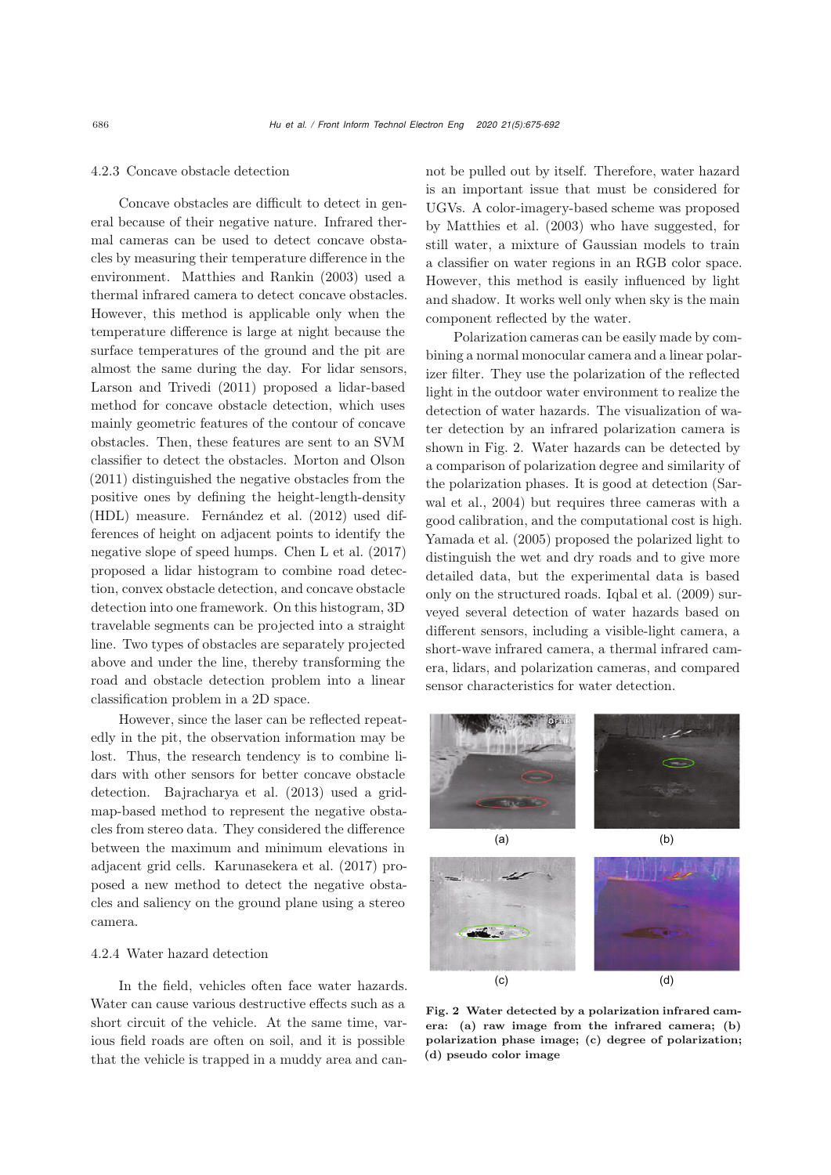#### 4.2.3 Concave obstacle detection

Concave obstacles are difficult to detect in general because of their negative nature. Infrared thermal cameras can be used to detect concave obstacles by measuring their temperature difference in the environment. [Matthies and Rankin](#page-16-12) [\(2003](#page-16-12)) used a thermal infrared camera to detect concave obstacles. However, this method is applicable only when the temperature difference is large at night because the surface temperatures of the ground and the pit are almost the same during the day. For lidar sensors, [Larson and Trivedi](#page-16-13) [\(2011](#page-16-13)) proposed a lidar-based method for concave obstacle detection, which uses mainly geometric features of the contour of concave obstacles. Then, these features are sent to an SVM classifier to detect the obstacles. [Morton and Olson](#page-16-14) [\(2011\)](#page-16-14) distinguished the negative obstacles from the positive ones by defining the height-length-density (HDL) measure. [Fernández et al.](#page-15-16) [\(2012](#page-15-16)) used differences of height on adjacent points to identify the negative slope of speed humps. [Chen L et al.](#page-14-12) [\(2017\)](#page-14-12) proposed a lidar histogram to combine road detection, convex obstacle detection, and concave obstacle detection into one framework. On this histogram, 3D travelable segments can be projected into a straight line. Two types of obstacles are separately projected above and under the line, thereby transforming the road and obstacle detection problem into a linear classification problem in a 2D space.

However, since the laser can be reflected repeatedly in the pit, the observation information may be lost. Thus, the research tendency is to combine lidars with other sensors for better concave obstacle detection. [Bajracharya et al.](#page-14-13) [\(2013](#page-14-13)) used a gridmap-based method to represent the negative obstacles from stereo data. They considered the difference between the maximum and minimum elevations in adjacent grid cells. [Karunasekera et al.](#page-15-17) [\(2017\)](#page-15-17) proposed a new method to detect the negative obstacles and saliency on the ground plane using a stereo camera.

## 4.2.4 Water hazard detection

In the field, vehicles often face water hazards. Water can cause various destructive effects such as a short circuit of the vehicle. At the same time, various field roads are often on soil, and it is possible that the vehicle is trapped in a muddy area and cannot be pulled out by itself. Therefore, water hazard is an important issue that must be considered for UGVs. A color-imagery-based scheme was proposed by [Matthies et al.](#page-16-15) [\(2003\)](#page-16-15) who have suggested, for still water, a mixture of Gaussian models to train a classifier on water regions in an RGB color space. However, this method is easily influenced by light and shadow. It works well only when sky is the main component reflected by the water.

Polarization cameras can be easily made by combining a normal monocular camera and a linear polarizer filter. They use the polarization of the reflected light in the outdoor water environment to realize the detection of water hazards. The visualization of water detection by an infrared polarization camera is shown in Fig. [2.](#page-11-0) Water hazards can be detected by a comparison of polarization degree and similarity of the polar[ization](#page-16-16) [phases.](#page-16-16) [It](#page-16-16) [is](#page-16-16) [good](#page-16-16) [at](#page-16-16) [detection](#page-16-16) [\(](#page-16-16)Sarwal et al., [2004\)](#page-16-16) but requires three cameras with a good calibration, and the computational cost is high. [Yamada et al.](#page-17-19) [\(2005](#page-17-19)) proposed the polarized light to distinguish the wet and dry roads and to give more detailed data, but the experimental data is based only on the structured roads. [Iqbal et al.](#page-15-18) [\(2009](#page-15-18)) surveyed several detection of water hazards based on different sensors, including a visible-light camera, a short-wave infrared camera, a thermal infrared camera, lidars, and polarization cameras, and compared sensor characteristics for water detection.



<span id="page-11-0"></span>Fig. 2 Water detected by a polarization infrared camera: (a) raw image from the infrared camera; (b) polarization phase image; (c) degree of polarization; (d) pseudo color image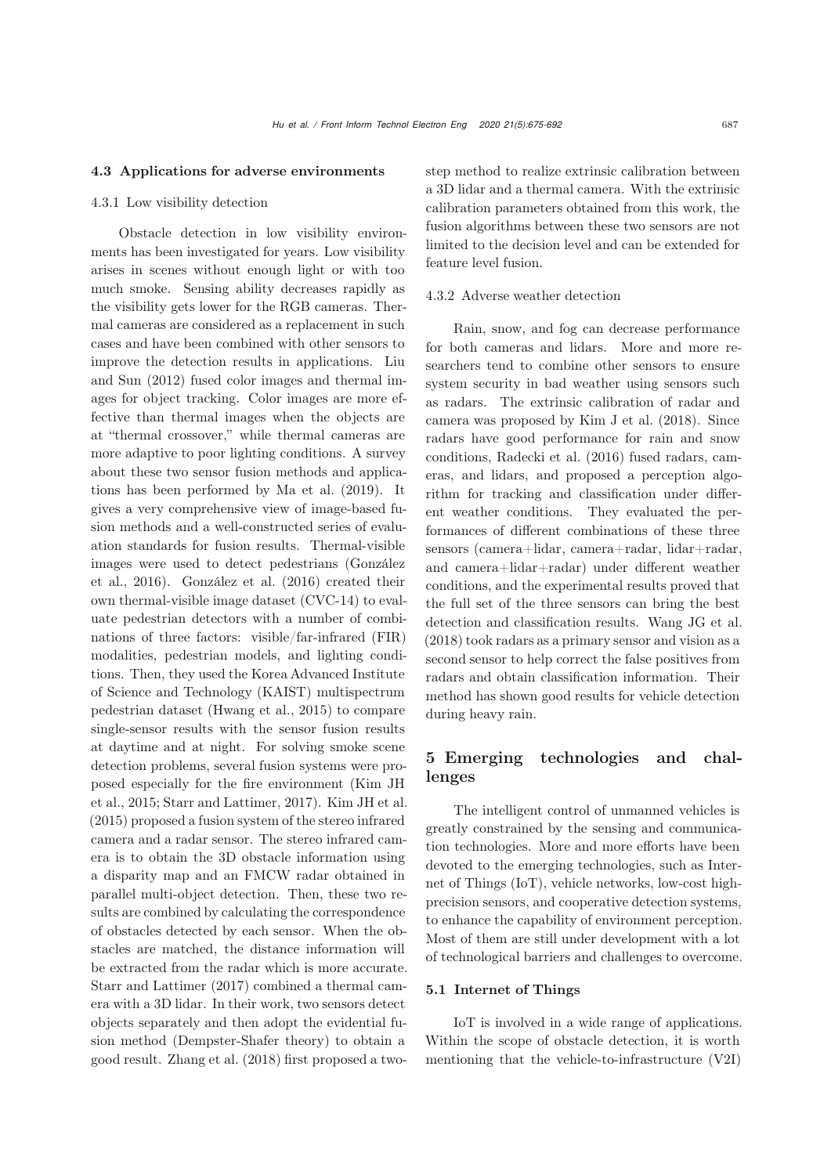#### 4.3 Applications for adverse environments

#### 4.3.1 Low visibility detection

Obstacle detection in low visibility environments has been investigated for years. Low visibility arises in scenes without enough light or with too much smoke. Sensing ability decreases rapidly as the visibility gets lower for the RGB cameras. Thermal cameras are considered as a replacement in such cases and have been combined with other sensors to improve [the](#page-16-17) [detection](#page-16-17) [results](#page-16-17) [in](#page-16-17) [applications.](#page-16-17) Liu and Sun [\(2012](#page-16-17)) fused color images and thermal images for object tracking. Color images are more effective than thermal images when the objects are at "thermal crossover," while thermal cameras are more adaptive to poor lighting conditions. A survey about these two sensor fusion methods and applications has been performed by [Ma et al.](#page-16-18) [\(2019](#page-16-18)). It gives a very comprehensive view of image-based fusion methods and a well-constructed series of evaluation standards for fusion results. Thermal-visible imag[es](#page-15-19) [were](#page-15-19) [used](#page-15-19) [to](#page-15-19) [detect](#page-15-19) pedestrians (González et al., [2016\)](#page-15-19). [González et al.](#page-15-19) [\(2016\)](#page-15-19) created their own thermal-visible image dataset (CVC-14) to evaluate pedestrian detectors with a number of combinations of three factors: visible/far-infrared (FIR) modalities, pedestrian models, and lighting conditions. Then, they used the Korea Advanced Institute of Science and Technology (KAIST) multispectrum pedestrian dataset [\(Hwang et al.](#page-15-20), [2015](#page-15-20)) to compare single-sensor results with the sensor fusion results at daytime and at night. For solving smoke scene detection problems, several fusion systems were propose[d](#page-15-21) [especially](#page-15-21) [for](#page-15-21) [the](#page-15-21) [fire](#page-15-21) [environment](#page-15-21) [\(](#page-15-21)Kim JH et al., [2015;](#page-15-21) [Starr and Lattimer, 2017](#page-17-20)). [Kim JH et al.](#page-15-21) [\(2015\)](#page-15-21) proposed a fusion system of the stereo infrared camera and a radar sensor. The stereo infrared camera is to obtain the 3D obstacle information using a disparity map and an FMCW radar obtained in parallel multi-object detection. Then, these two results are combined by calculating the correspondence of obstacles detected by each sensor. When the obstacles are matched, the distance information will be extracted from the radar which is more accurate. [Starr and Lattimer](#page-17-20) [\(2017\)](#page-17-20) combined a thermal camera with a 3D lidar. In their work, two sensors detect objects separately and then adopt the evidential fusion method (Dempster-Shafer theory) to obtain a good result. [Zhang et al.](#page-17-21) [\(2018\)](#page-17-21) first proposed a twostep method to realize extrinsic calibration between a 3D lidar and a thermal camera. With the extrinsic calibration parameters obtained from this work, the fusion algorithms between these two sensors are not limited to the decision level and can be extended for feature level fusion.

## 4.3.2 Adverse weather detection

Rain, snow, and fog can decrease performance for both cameras and lidars. More and more researchers tend to combine other sensors to ensure system security in bad weather using sensors such as radars. The extrinsic calibration of radar and camera was proposed by [Kim J et al.](#page-15-22) [\(2018\)](#page-15-22). Since radars have good performance for rain and snow conditions, [Radecki et al.](#page-16-19) [\(2016\)](#page-16-19) fused radars, cameras, and lidars, and proposed a perception algorithm for tracking and classification under different weather conditions. They evaluated the performances of different combinations of these three sensors (camera+lidar, camera+radar, lidar+radar, and camera+lidar+radar) under different weather conditions, and the experimental results proved that the full set of the three sensors can bring the best detection and classification results. [Wang JG et al.](#page-17-22) [\(2018\)](#page-17-22) took radars as a primary sensor and vision as a second sensor to help correct the false positives from radars and obtain classification information. Their method has shown good results for vehicle detection during heavy rain.

# 5 Emerging technologies and challenges

The intelligent control of unmanned vehicles is greatly constrained by the sensing and communication technologies. More and more efforts have been devoted to the emerging technologies, such as Internet of Things (IoT), vehicle networks, low-cost highprecision sensors, and cooperative detection systems, to enhance the capability of environment perception. Most of them are still under development with a lot of technological barriers and challenges to overcome.

## 5.1 Internet of Things

IoT is involved in a wide range of applications. Within the scope of obstacle detection, it is worth mentioning that the vehicle-to-infrastructure (V2I)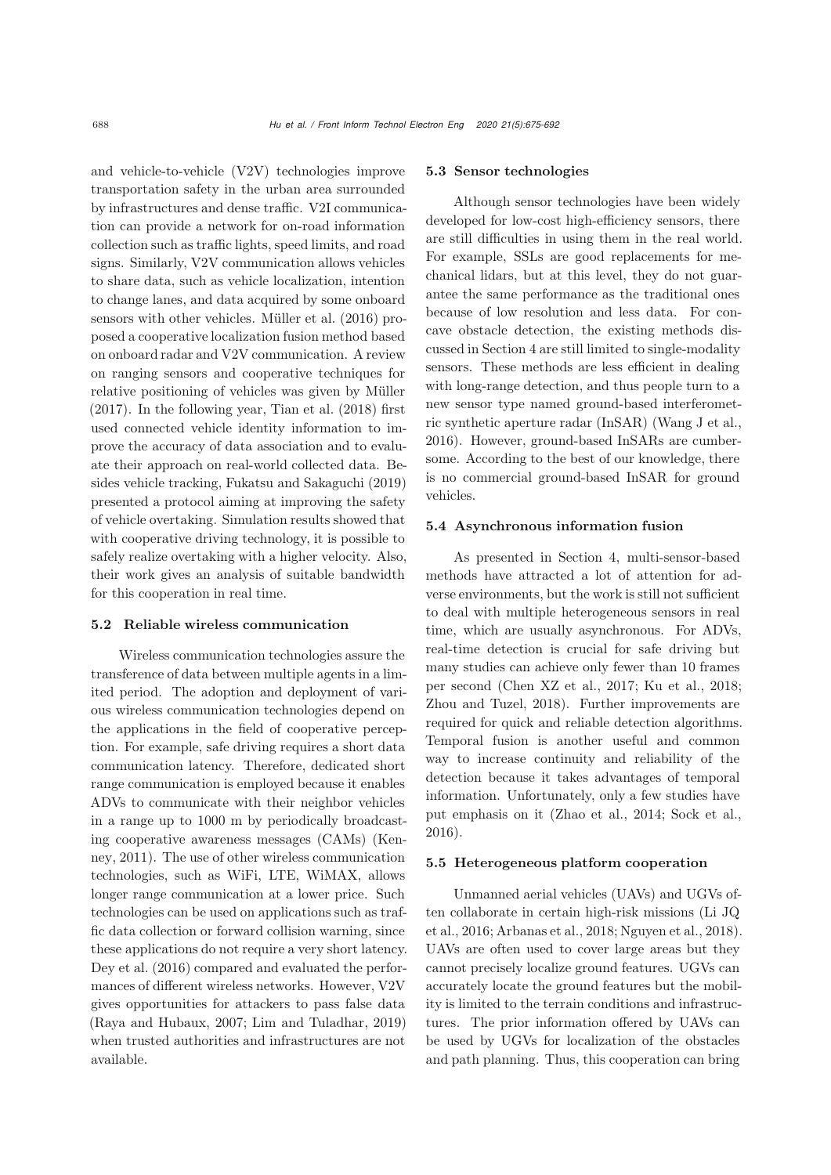and vehicle-to-vehicle (V2V) technologies improve transportation safety in the urban area surrounded by infrastructures and dense traffic. V2I communication can provide a network for on-road information collection such as traffic lights, speed limits, and road signs. Similarly, V2V communication allows vehicles to share data, such as vehicle localization, intention to change lanes, and data acquired by some onboard sensors with other vehicles. [Müller et al.](#page-16-20) [\(2016](#page-16-20)) proposed a cooperative localization fusion method based on onboard radar and V2V communication. A review on ranging sensors and cooperative techniques for relative positioning of vehicles was given by [Müller](#page-16-21) [\(2017\)](#page-16-21). In the following year, [Tian et al.](#page-17-23) [\(2018](#page-17-23)) first used connected vehicle identity information to improve the accuracy of data association and to evaluate their approach on real-world collected data. Besides vehicle tracking, [Fukatsu and Sakaguchi](#page-15-23) [\(2019\)](#page-15-23) presented a protocol aiming at improving the safety of vehicle overtaking. Simulation results showed that with cooperative driving technology, it is possible to safely realize overtaking with a higher velocity. Also, their work gives an analysis of suitable bandwidth for this cooperation in real time.

## 5.2 Reliable wireless communication

Wireless communication technologies assure the transference of data between multiple agents in a limited period. The adoption and deployment of various wireless communication technologies depend on the applications in the field of cooperative perception. For example, safe driving requires a short data communication latency. Therefore, dedicated short range communication is employed because it enables ADVs to communicate with their neighbor vehicles in a range up to 1000 m by periodically broadcasting [cooperative](#page-15-24) [awareness](#page-15-24) [messages](#page-15-24) [\(CAMs\)](#page-15-24) [\(](#page-15-24)Kenney, [2011\)](#page-15-24). The use of other wireless communication technologies, such as WiFi, LTE, WiMAX, allows longer range communication at a lower price. Such technologies can be used on applications such as traffic data collection or forward collision warning, since these applications do not require a very short latency. [Dey et al.](#page-15-25) [\(2016\)](#page-15-25) compared and evaluated the performances of different wireless networks. However, V2V gives opportunities for attackers to pass false data [\(Raya and Hubaux, 2007](#page-16-22); [Lim and Tuladhar](#page-16-23), [2019\)](#page-16-23) when trusted authorities and infrastructures are not available.

#### 5.3 Sensor technologies

Although sensor technologies have been widely developed for low-cost high-efficiency sensors, there are still difficulties in using them in the real world. For example, SSLs are good replacements for mechanical lidars, but at this level, they do not guarantee the same performance as the traditional ones because of low resolution and less data. For concave obstacle detection, the existing methods discussed in Section [4](#page-8-0) are still limited to single-modality sensors. These methods are less efficient in dealing with long-range detection, and thus people turn to a new sensor type named ground-based interferometric synthetic aperture radar (InSAR) [\(Wang J et al.,](#page-17-24) [2016\)](#page-17-24). However, ground-based InSARs are cumbersome. According to the best of our knowledge, there is no commercial ground-based InSAR for ground vehicles.

## 5.4 Asynchronous information fusion

As presented in Section [4,](#page-8-0) multi-sensor-based methods have attracted a lot of attention for adverse environments, but the work is still not sufficient to deal with multiple heterogeneous sensors in real time, which are usually asynchronous. For ADVs, real-time detection is crucial for safe driving but many studies can achieve only fewer than 10 frames per second [\(Chen XZ et al., 2017;](#page-14-14) [Ku et al.](#page-15-26), [2018;](#page-15-26) [Zhou and Tuzel, 2018\)](#page-17-16). Further improvements are required for quick and reliable detection algorithms. Temporal fusion is another useful and common way to increase continuity and reliability of the detection because it takes advantages of temporal information. Unfortunately, only a few studies have put emphasis on it [\(Zhao et al., 2014](#page-17-17); [Sock et al.,](#page-17-13) [2016](#page-17-13)).

## 5.5 Heterogeneous platform cooperation

Unmanned aerial vehicles (UAVs) and UGVs often [collaborate](#page-16-24) [in](#page-16-24) [certain](#page-16-24) [high-risk](#page-16-24) [missions](#page-16-24) [\(](#page-16-24)Li JQ et al., [2016](#page-16-24); [Arbanas et al.](#page-14-15), [2018](#page-14-15); [Nguyen et al., 2018\)](#page-16-25). UAVs are often used to cover large areas but they cannot precisely localize ground features. UGVs can accurately locate the ground features but the mobility is limited to the terrain conditions and infrastructures. The prior information offered by UAVs can be used by UGVs for localization of the obstacles and path planning. Thus, this cooperation can bring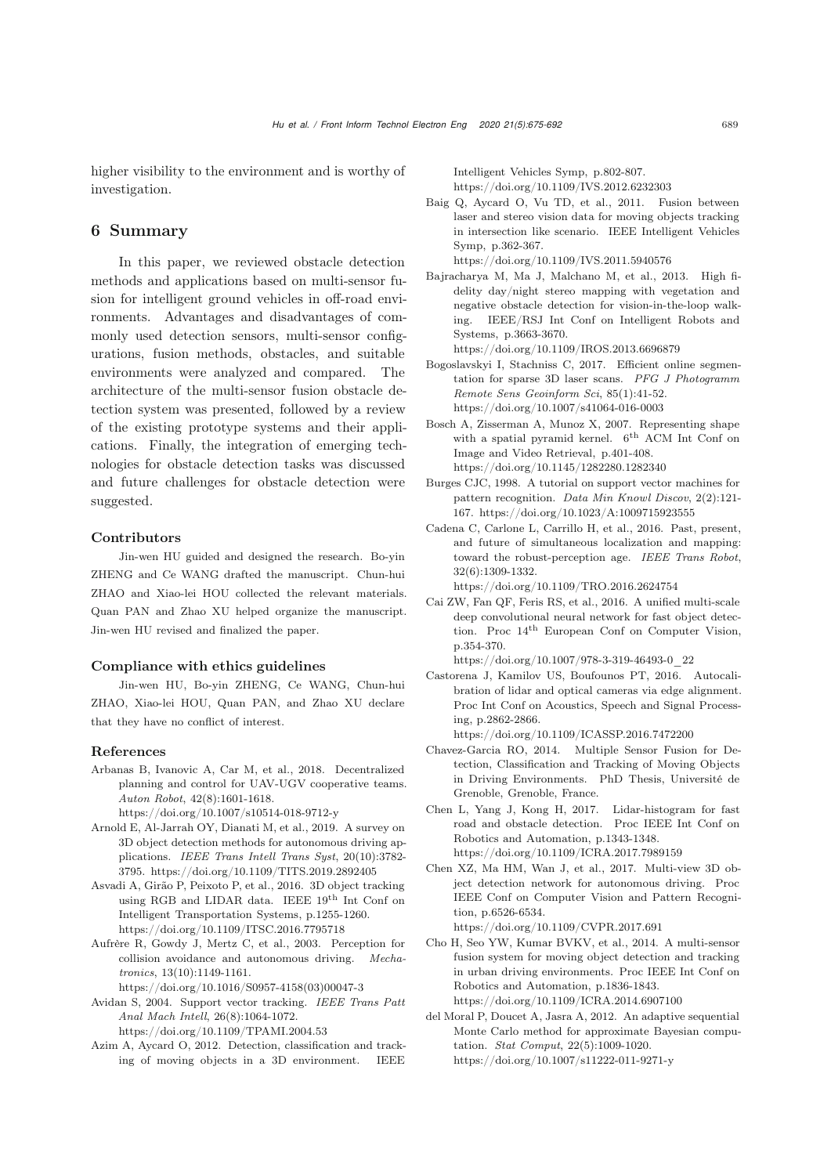higher visibility to the environment and is worthy of investigation.

# 6 Summary

In this paper, we reviewed obstacle detection methods and applications based on multi-sensor fusion for intelligent ground vehicles in off-road environments. Advantages and disadvantages of commonly used detection sensors, multi-sensor configurations, fusion methods, obstacles, and suitable environments were analyzed and compared. The architecture of the multi-sensor fusion obstacle detection system was presented, followed by a review of the existing prototype systems and their applications. Finally, the integration of emerging technologies for obstacle detection tasks was discussed and future challenges for obstacle detection were suggested.

#### Contributors

Jin-wen HU guided and designed the research. Bo-yin ZHENG and Ce WANG drafted the manuscript. Chun-hui ZHAO and Xiao-lei HOU collected the relevant materials. Quan PAN and Zhao XU helped organize the manuscript. Jin-wen HU revised and finalized the paper.

#### Compliance with ethics guidelines

Jin-wen HU, Bo-yin ZHENG, Ce WANG, Chun-hui ZHAO, Xiao-lei HOU, Quan PAN, and Zhao XU declare that they have no conflict of interest.

#### References

<span id="page-14-15"></span>Arbanas B, Ivanovic A, Car M, et al., 2018. Decentralized planning and control for UAV-UGV cooperative teams. *Auton Robot*, 42(8):1601-1618.

https://doi.org/10.1007/s10514-018-9712-y

- <span id="page-14-0"></span>Arnold E, Al-Jarrah OY, Dianati M, et al., 2019. A survey on 3D object detection methods for autonomous driving applications. *IEEE Trans Intell Trans Syst*, 20(10):3782- 3795. https://doi.org/10.1109/TITS.2019.2892405
- Asvadi A, Girão P, Peixoto P, et al., 2016. 3D object tracking using RGB and LIDAR data. IEEE 19th Int Conf on Intelligent Transportation Systems, p.1255-1260. https://doi.org/10.1109/ITSC.2016.7795718
- <span id="page-14-1"></span>Aufrère R, Gowdy J, Mertz C, et al., 2003. Perception for collision avoidance and autonomous driving. *Mechatronics*, 13(10):1149-1161.

https://doi.org/10.1016/S0957-4158(03)00047-3

<span id="page-14-8"></span>Avidan S, 2004. Support vector tracking. *IEEE Trans Patt Anal Mach Intell*, 26(8):1064-1072.

https://doi.org/10.1109/TPAMI.2004.53

<span id="page-14-5"></span>Azim A, Aycard O, 2012. Detection, classification and tracking of moving objects in a 3D environment. IEEE

Intelligent Vehicles Symp, p.802-807. https://doi.org/10.1109/IVS.2012.6232303

<span id="page-14-3"></span>Baig Q, Aycard O, Vu TD, et al., 2011. Fusion between laser and stereo vision data for moving objects tracking in intersection like scenario. IEEE Intelligent Vehicles Symp, p.362-367.

https://doi.org/10.1109/IVS.2011.5940576

<span id="page-14-13"></span>Bajracharya M, Ma J, Malchano M, et al., 2013. High fidelity day/night stereo mapping with vegetation and negative obstacle detection for vision-in-the-loop walking. IEEE/RSJ Int Conf on Intelligent Robots and Systems, p.3663-3670.

https://doi.org/10.1109/IROS.2013.6696879

- <span id="page-14-11"></span>Bogoslavskyi I, Stachniss C, 2017. Efficient online segmentation for sparse 3D laser scans. *PFG J Photogramm Remote Sens Geoinform Sci*, 85(1):41-52. https://doi.org/10.1007/s41064-016-0003
- <span id="page-14-4"></span>Bosch A, Zisserman A, Munoz X, 2007. Representing shape with a spatial pyramid kernel.  $6<sup>th</sup>$  ACM Int Conf on Image and Video Retrieval, p.401-408. https://doi.org/10.1145/1282280.1282340
- <span id="page-14-7"></span>Burges CJC, 1998. A tutorial on support vector machines for pattern recognition. *Data Min Knowl Discov*, 2(2):121- 167. https://doi.org/10.1023/A:1009715923555
- <span id="page-14-2"></span>Cadena C, Carlone L, Carrillo H, et al., 2016. Past, present, and future of simultaneous localization and mapping: toward the robust-perception age. *IEEE Trans Robot*, 32(6):1309-1332.
	- https://doi.org/10.1109/TRO.2016.2624754
- <span id="page-14-9"></span>Cai ZW, Fan QF, Feris RS, et al., 2016. A unified multi-scale deep convolutional neural network for fast object detection. Proc 14th European Conf on Computer Vision, p.354-370.

https://doi.org/10.1007/978-3-319-46493-0\_22

- Castorena J, Kamilov US, Boufounos PT, 2016. Autocalibration of lidar and optical cameras via edge alignment. Proc Int Conf on Acoustics, Speech and Signal Processing, p.2862-2866. https://doi.org/10.1109/ICASSP.2016.7472200
- Chavez-Garcia RO, 2014. Multiple Sensor Fusion for Detection, Classification and Tracking of Moving Objects in Driving Environments. PhD Thesis, Université de Grenoble, Grenoble, France.
- <span id="page-14-12"></span>Chen L, Yang J, Kong H, 2017. Lidar-histogram for fast road and obstacle detection. Proc IEEE Int Conf on Robotics and Automation, p.1343-1348. https://doi.org/10.1109/ICRA.2017.7989159
- <span id="page-14-14"></span>Chen XZ, Ma HM, Wan J, et al., 2017. Multi-view 3D object detection network for autonomous driving. Proc IEEE Conf on Computer Vision and Pattern Recognition, p.6526-6534.

https://doi.org/10.1109/CVPR.2017.691

- <span id="page-14-10"></span>Cho H, Seo YW, Kumar BVKV, et al., 2014. A multi-sensor fusion system for moving object detection and tracking in urban driving environments. Proc IEEE Int Conf on Robotics and Automation, p.1836-1843. https://doi.org/10.1109/ICRA.2014.6907100
- <span id="page-14-6"></span>del Moral P, Doucet A, Jasra A, 2012. An adaptive sequential Monte Carlo method for approximate Bayesian computation. *Stat Comput*, 22(5):1009-1020. https://doi.org/10.1007/s11222-011-9271-y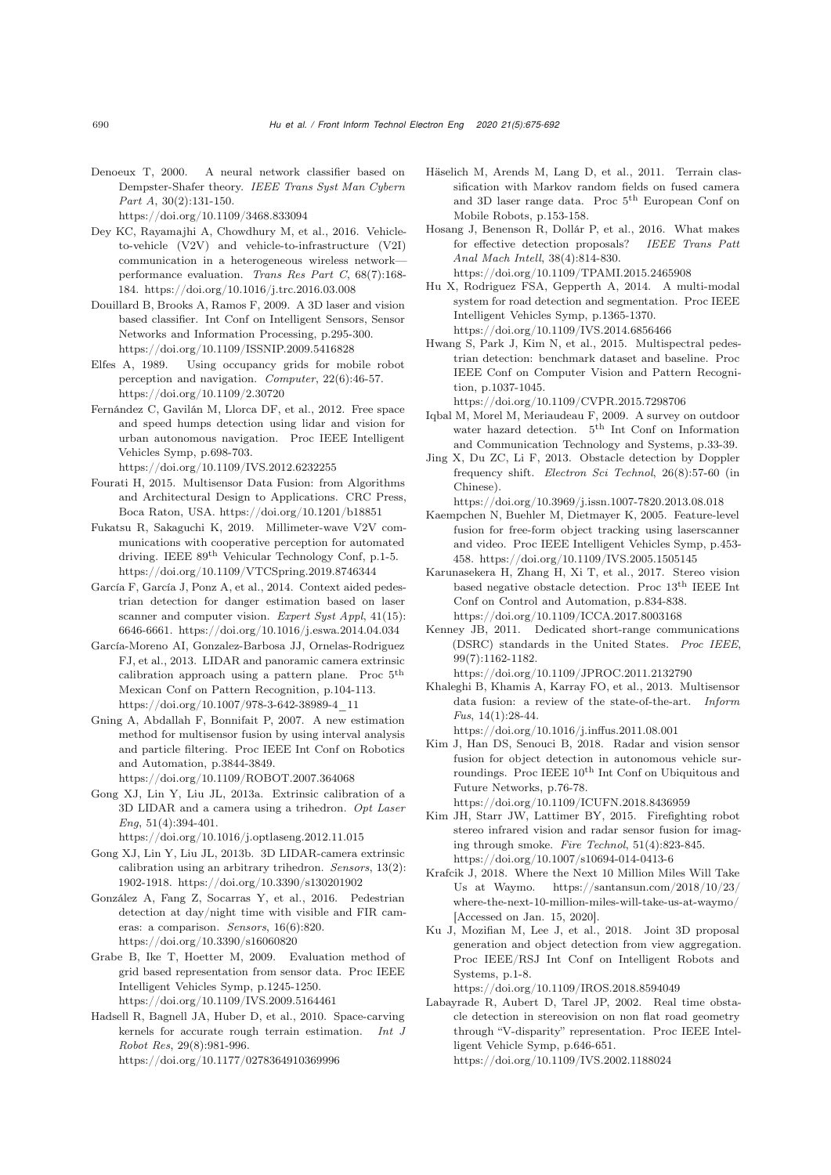<span id="page-15-6"></span>Denoeux T, 2000. A neural network classifier based on Dempster-Shafer theory. *IEEE Trans Syst Man Cybern Part A*, 30(2):131-150.

https://doi.org/10.1109/3468.833094

- <span id="page-15-25"></span>Dey KC, Rayamajhi A, Chowdhury M, et al., 2016. Vehicleto-vehicle (V2V) and vehicle-to-infrastructure (V2I) communication in a heterogeneous wireless network performance evaluation. *Trans Res Part C*, 68(7):168- 184. https://doi.org/10.1016/j.trc.2016.03.008
- <span id="page-15-8"></span>Douillard B, Brooks A, Ramos F, 2009. A 3D laser and vision based classifier. Int Conf on Intelligent Sensors, Sensor Networks and Information Processing, p.295-300. https://doi.org/10.1109/ISSNIP.2009.5416828
- <span id="page-15-3"></span>Elfes A, 1989. Using occupancy grids for mobile robot perception and navigation. *Computer*, 22(6):46-57. https://doi.org/10.1109/2.30720
- <span id="page-15-16"></span>Fernández C, Gavilán M, Llorca DF, et al., 2012. Free space and speed humps detection using lidar and vision for urban autonomous navigation. Proc IEEE Intelligent Vehicles Symp, p.698-703.

https://doi.org/10.1109/IVS.2012.6232255

- <span id="page-15-2"></span>Fourati H, 2015. Multisensor Data Fusion: from Algorithms and Architectural Design to Applications. CRC Press, Boca Raton, USA. https://doi.org/10.1201/b18851
- <span id="page-15-23"></span>Fukatsu R, Sakaguchi K, 2019. Millimeter-wave V2V communications with cooperative perception for automated driving. IEEE 89th Vehicular Technology Conf, p.1-5. https://doi.org/10.1109/VTCSpring.2019.8746344
- <span id="page-15-14"></span>García F, García J, Ponz A, et al., 2014. Context aided pedestrian detection for danger estimation based on laser scanner and computer vision. *Expert Syst Appl*, 41(15): 6646-6661. https://doi.org/10.1016/j.eswa.2014.04.034
- García-Moreno AI, Gonzalez-Barbosa JJ, Ornelas-Rodriguez FJ, et al., 2013. LIDAR and panoramic camera extrinsic calibration approach using a pattern plane. Proc 5th Mexican Conf on Pattern Recognition, p.104-113. https://doi.org/10.1007/978-3-642-38989-4\_11
- <span id="page-15-5"></span>Gning A, Abdallah F, Bonnifait P, 2007. A new estimation method for multisensor fusion by using interval analysis and particle filtering. Proc IEEE Int Conf on Robotics and Automation, p.3844-3849. https://doi.org/10.1109/ROBOT.2007.364068
- Gong XJ, Lin Y, Liu JL, 2013a. Extrinsic calibration of a 3D LIDAR and a camera using a trihedron. *Opt Laser Eng*, 51(4):394-401.

https://doi.org/10.1016/j.optlaseng.2012.11.015

- Gong XJ, Lin Y, Liu JL, 2013b. 3D LIDAR-camera extrinsic calibration using an arbitrary trihedron. *Sensors*, 13(2): 1902-1918. https://doi.org/10.3390/s130201902
- <span id="page-15-19"></span>González A, Fang Z, Socarras Y, et al., 2016. Pedestrian detection at day/night time with visible and FIR cameras: a comparison. *Sensors*, 16(6):820. https://doi.org/10.3390/s16060820
- <span id="page-15-4"></span>Grabe B, Ike T, Hoetter M, 2009. Evaluation method of grid based representation from sensor data. Proc IEEE Intelligent Vehicles Symp, p.1245-1250. https://doi.org/10.1109/IVS.2009.5164461
- <span id="page-15-12"></span>Hadsell R, Bagnell JA, Huber D, et al., 2010. Space-carving kernels for accurate rough terrain estimation. *Int J Robot Res*, 29(8):981-996. https://doi.org/10.1177/0278364910369996
- <span id="page-15-9"></span>Häselich M, Arends M, Lang D, et al., 2011. Terrain classification with Markov random fields on fused camera and 3D laser range data. Proc 5th European Conf on Mobile Robots, p.153-158.
- <span id="page-15-10"></span>Hosang J, Benenson R, Dollár P, et al., 2016. What makes for effective detection proposals? *IEEE Trans Patt Anal Mach Intell*, 38(4):814-830. https://doi.org/10.1109/TPAMI.2015.2465908
- <span id="page-15-11"></span>Hu X, Rodriguez FSA, Gepperth A, 2014. A multi-modal system for road detection and segmentation. Proc IEEE Intelligent Vehicles Symp, p.1365-1370. https://doi.org/10.1109/IVS.2014.6856466
- <span id="page-15-20"></span>Hwang S, Park J, Kim N, et al., 2015. Multispectral pedestrian detection: benchmark dataset and baseline. Proc IEEE Conf on Computer Vision and Pattern Recognition, p.1037-1045.

https://doi.org/10.1109/CVPR.2015.7298706

- <span id="page-15-18"></span>Iqbal M, Morel M, Meriaudeau F, 2009. A survey on outdoor water hazard detection. 5<sup>th</sup> Int Conf on Information and Communication Technology and Systems, p.33-39.
- <span id="page-15-15"></span>Jing X, Du ZC, Li F, 2013. Obstacle detection by Doppler frequency shift. *Electron Sci Technol*, 26(8):57-60 (in Chinese).

https://doi.org/10.3969/j.issn.1007-7820.2013.08.018

- <span id="page-15-7"></span>Kaempchen N, Buehler M, Dietmayer K, 2005. Feature-level fusion for free-form object tracking using laserscanner and video. Proc IEEE Intelligent Vehicles Symp, p.453- 458. https://doi.org/10.1109/IVS.2005.1505145
- <span id="page-15-17"></span>Karunasekera H, Zhang H, Xi T, et al., 2017. Stereo vision based negative obstacle detection. Proc $13^{\rm th}$  IEEE Int Conf on Control and Automation, p.834-838. https://doi.org/10.1109/ICCA.2017.8003168
- <span id="page-15-24"></span>Kenney JB, 2011. Dedicated short-range communications (DSRC) standards in the United States. *Proc IEEE*, 99(7):1162-1182.

https://doi.org/10.1109/JPROC.2011.2132790

<span id="page-15-1"></span>Khaleghi B, Khamis A, Karray FO, et al., 2013. Multisensor data fusion: a review of the state-of-the-art. *Inform Fus*, 14(1):28-44.

https://doi.org/10.1016/j.inffus.2011.08.001

<span id="page-15-22"></span>Kim J, Han DS, Senouci B, 2018. Radar and vision sensor fusion for object detection in autonomous vehicle surroundings. Proc $\rm{IEEE}$   $10^{\rm{th}}$  Int Conf on Ubiquitous and Future Networks, p.76-78. https://doi.org/10.1109/ICUFN.2018.8436959

<span id="page-15-21"></span>Kim JH, Starr JW, Lattimer BY, 2015. Firefighting robot stereo infrared vision and radar sensor fusion for imag-

ing through smoke. *Fire Technol*, 51(4):823-845. https://doi.org/10.1007/s10694-014-0413-6

- <span id="page-15-0"></span>Krafcik J, 2018. Where the Next 10 Million Miles Will Take Us at Waymo. https://santansun.com/2018/10/23/ where-the-next-10-million-miles-will-take-us-at-waymo/ [Accessed on Jan. 15, 2020].
- <span id="page-15-26"></span>Ku J, Mozifian M, Lee J, et al., 2018. Joint 3D proposal generation and object detection from view aggregation. Proc IEEE/RSJ Int Conf on Intelligent Robots and Systems, p.1-8.

https://doi.org/10.1109/IROS.2018.8594049

<span id="page-15-13"></span>Labayrade R, Aubert D, Tarel JP, 2002. Real time obstacle detection in stereovision on non flat road geometry through "V-disparity" representation. Proc IEEE Intelligent Vehicle Symp, p.646-651. https://doi.org/10.1109/IVS.2002.1188024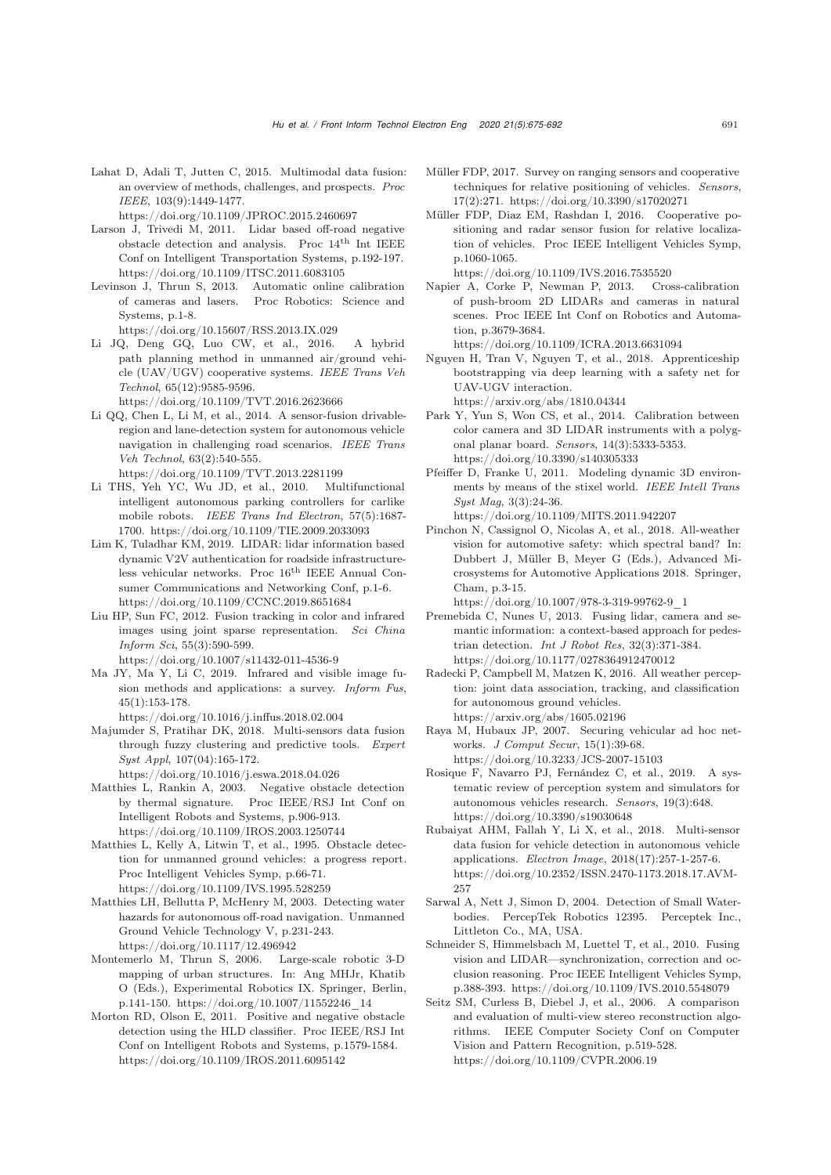<span id="page-16-3"></span>Lahat D, Adali T, Jutten C, 2015. Multimodal data fusion: an overview of methods, challenges, and prospects. *Proc IEEE*, 103(9):1449-1477.

https://doi.org/10.1109/JPROC.2015.2460697

- <span id="page-16-13"></span>Larson J, Trivedi M, 2011. Lidar based off-road negative obstacle detection and analysis. Proc $14^{\rm th}$  Int IEEE Conf on Intelligent Transportation Systems, p.192-197. https://doi.org/10.1109/ITSC.2011.6083105
- Levinson J, Thrun S, 2013. Automatic online calibration of cameras and lasers. Proc Robotics: Science and Systems, p.1-8. https://doi.org/10.15607/RSS.2013.IX.029
- <span id="page-16-24"></span>Li JQ, Deng GQ, Luo CW, et al., 2016. A hybrid path planning method in unmanned air/ground vehicle (UAV/UGV) cooperative systems. *IEEE Trans Veh Technol*, 65(12):9585-9596.

https://doi.org/10.1109/TVT.2016.2623666

- <span id="page-16-6"></span>Li QQ, Chen L, Li M, et al., 2014. A sensor-fusion drivableregion and lane-detection system for autonomous vehicle navigation in challenging road scenarios. *IEEE Trans Veh Technol*, 63(2):540-555. https://doi.org/10.1109/TVT.2013.2281199
- Li THS, Yeh YC, Wu JD, et al., 2010. Multifunctional intelligent autonomous parking controllers for carlike mobile robots. *IEEE Trans Ind Electron*, 57(5):1687- 1700. https://doi.org/10.1109/TIE.2009.2033093
- <span id="page-16-23"></span>Lim K, Tuladhar KM, 2019. LIDAR: lidar information based dynamic V2V authentication for roadside infrastructureless vehicular networks. Proc 16th IEEE Annual Consumer Communications and Networking Conf, p.1-6. https://doi.org/10.1109/CCNC.2019.8651684
- <span id="page-16-17"></span>Liu HP, Sun FC, 2012. Fusion tracking in color and infrared images using joint sparse representation. *Sci China Inform Sci*, 55(3):590-599. https://doi.org/10.1007/s11432-011-4536-9
- <span id="page-16-18"></span>Ma JY, Ma Y, Li C, 2019. Infrared and visible image fusion methods and applications: a survey. *Inform Fus*, 45(1):153-178.
- https://doi.org/10.1016/j.inffus.2018.02.004
- <span id="page-16-4"></span>Majumder S, Pratihar DK, 2018. Multi-sensors data fusion through fuzzy clustering and predictive tools. *Expert Syst Appl*, 107(04):165-172.
	- https://doi.org/10.1016/j.eswa.2018.04.026
- <span id="page-16-12"></span>Matthies L, Rankin A, 2003. Negative obstacle detection by thermal signature. Proc IEEE/RSJ Int Conf on Intelligent Robots and Systems, p.906-913. https://doi.org/10.1109/IROS.2003.1250744
- <span id="page-16-11"></span>Matthies L, Kelly A, Litwin T, et al., 1995. Obstacle detection for unmanned ground vehicles: a progress report. Proc Intelligent Vehicles Symp, p.66-71. https://doi.org/10.1109/IVS.1995.528259
- <span id="page-16-15"></span>Matthies LH, Bellutta P, McHenry M, 2003. Detecting water hazards for autonomous off-road navigation. Unmanned Ground Vehicle Technology V, p.231-243. https://doi.org/10.1117/12.496942
- <span id="page-16-7"></span>Montemerlo M, Thrun S, 2006. Large-scale robotic 3-D mapping of urban structures. In: Ang MHJr, Khatib O (Eds.), Experimental Robotics IX. Springer, Berlin, p.141-150. https://doi.org/10.1007/11552246\_14
- <span id="page-16-14"></span>Morton RD, Olson E, 2011. Positive and negative obstacle detection using the HLD classifier. Proc IEEE/RSJ Int Conf on Intelligent Robots and Systems, p.1579-1584. https://doi.org/10.1109/IROS.2011.6095142
- <span id="page-16-21"></span>Müller FDP, 2017. Survey on ranging sensors and cooperative techniques for relative positioning of vehicles. *Sensors*, 17(2):271. https://doi.org/10.3390/s17020271
- <span id="page-16-20"></span>Müller FDP, Diaz EM, Rashdan I, 2016. Cooperative positioning and radar sensor fusion for relative localization of vehicles. Proc IEEE Intelligent Vehicles Symp, p.1060-1065.

https://doi.org/10.1109/IVS.2016.7535520

Napier A, Corke P, Newman P, 2013. Cross-calibration of push-broom 2D LIDARs and cameras in natural scenes. Proc IEEE Int Conf on Robotics and Automation, p.3679-3684.

https://doi.org/10.1109/ICRA.2013.6631094

- <span id="page-16-25"></span>Nguyen H, Tran V, Nguyen T, et al., 2018. Apprenticeship bootstrapping via deep learning with a safety net for UAV-UGV interaction. https://arxiv.org/abs/1810.04344
- Park Y, Yun S, Won CS, et al., 2014. Calibration between color camera and 3D LIDAR instruments with a polygonal planar board. *Sensors*, 14(3):5333-5353. https://doi.org/10.3390/s140305333
- <span id="page-16-8"></span>Pfeiffer D, Franke U, 2011. Modeling dynamic 3D environments by means of the stixel world. *IEEE Intell Trans Syst Mag*, 3(3):24-36. https://doi.org/10.1109/MITS.2011.942207
- <span id="page-16-1"></span>Pinchon N, Cassignol O, Nicolas A, et al., 2018. All-weather vision for automotive safety: which spectral band? In: Dubbert J, Müller B, Meyer G (Eds.), Advanced Microsystems for Automotive Applications 2018. Springer, Cham, p.3-15.

https://doi.org/10.1007/978-3-319-99762-9\_1

- <span id="page-16-9"></span>Premebida C, Nunes U, 2013. Fusing lidar, camera and semantic information: a context-based approach for pedestrian detection. *Int J Robot Res*, 32(3):371-384. https://doi.org/10.1177/0278364912470012
- <span id="page-16-19"></span>Radecki P, Campbell M, Matzen K, 2016. All weather perception: joint data association, tracking, and classification for autonomous ground vehicles. https://arxiv.org/abs/1605.02196
- <span id="page-16-22"></span>Raya M, Hubaux JP, 2007. Securing vehicular ad hoc networks. *J Comput Secur*, 15(1):39-68. https://doi.org/10.3233/JCS-2007-15103
- <span id="page-16-0"></span>Rosique F, Navarro PJ, Fernández C, et al., 2019. A systematic review of perception system and simulators for autonomous vehicles research. *Sensors*, 19(3):648. https://doi.org/10.3390/s19030648
- <span id="page-16-10"></span>Rubaiyat AHM, Fallah Y, Li X, et al., 2018. Multi-sensor data fusion for vehicle detection in autonomous vehicle applications. *Electron Image*, 2018(17):257-1-257-6. https://doi.org/10.2352/ISSN.2470-1173.2018.17.AVM-257
- <span id="page-16-16"></span>Sarwal A, Nett J, Simon D, 2004. Detection of Small Waterbodies. PercepTek Robotics 12395. Perceptek Inc., Littleton Co., MA, USA.
- <span id="page-16-5"></span>Schneider S, Himmelsbach M, Luettel T, et al., 2010. Fusing vision and LIDAR—synchronization, correction and occlusion reasoning. Proc IEEE Intelligent Vehicles Symp, p.388-393. https://doi.org/10.1109/IVS.2010.5548079
- <span id="page-16-2"></span>Seitz SM, Curless B, Diebel J, et al., 2006. A comparison and evaluation of multi-view stereo reconstruction algorithms. IEEE Computer Society Conf on Computer Vision and Pattern Recognition, p.519-528. https://doi.org/10.1109/CVPR.2006.19